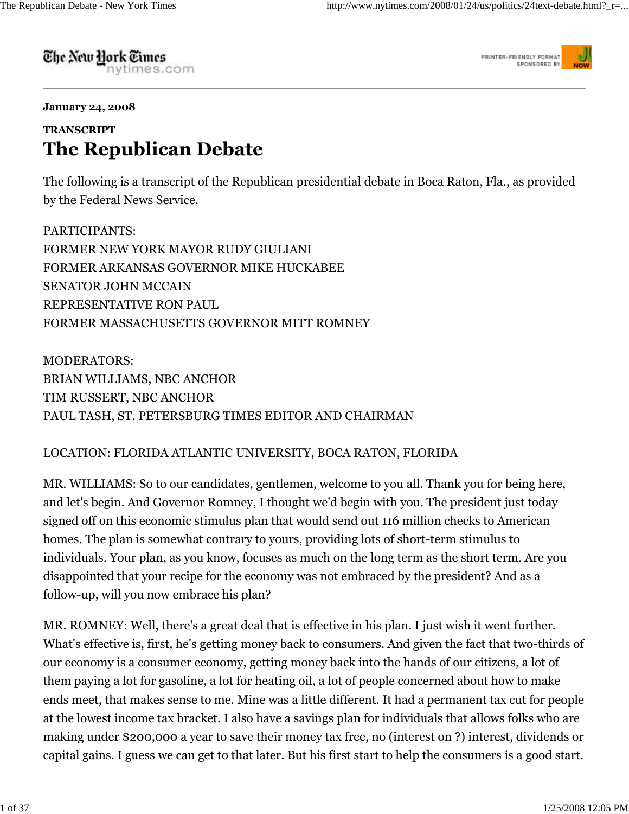The New Hork Times nytimes.com



January 24, 2008

# **TRANSCRIPT** The Republican Debate

The following is a transcript of the Republican presidential debate in Boca Raton, Fla., as provided by the Federal News Service.

PARTICIPANTS: FORMER NEW YORK MAYOR RUDY GIULIANI FORMER ARKANSAS GOVERNOR MIKE HUCKABEE SENATOR JOHN MCCAIN REPRESENTATIVE RON PAUL FORMER MASSACHUSETTS GOVERNOR MITT ROMNEY

MODERATORS: BRIAN WILLIAMS, NBC ANCHOR TIM RUSSERT, NBC ANCHOR PAUL TASH, ST. PETERSBURG TIMES EDITOR AND CHAIRMAN

# LOCATION: FLORIDA ATLANTIC UNIVERSITY, BOCA RATON, FLORIDA

MR. WILLIAMS: So to our candidates, gentlemen, welcome to you all. Thank you for being here, and let's begin. And Governor Romney, I thought we'd begin with you. The president just today signed off on this economic stimulus plan that would send out 116 million checks to American homes. The plan is somewhat contrary to yours, providing lots of short-term stimulus to individuals. Your plan, as you know, focuses as much on the long term as the short term. Are you disappointed that your recipe for the economy was not embraced by the president? And as a follow-up, will you now embrace his plan?

MR. ROMNEY: Well, there's a great deal that is effective in his plan. I just wish it went further. What's effective is, first, he's getting money back to consumers. And given the fact that two-thirds of our economy is a consumer economy, getting money back into the hands of our citizens, a lot of them paying a lot for gasoline, a lot for heating oil, a lot of people concerned about how to make ends meet, that makes sense to me. Mine was a little different. It had a permanent tax cut for people at the lowest income tax bracket. I also have a savings plan for individuals that allows folks who are making under \$200,000 a year to save their money tax free, no (interest on ?) interest, dividends or capital gains. I guess we can get to that later. But his first start to help the consumers is a good start.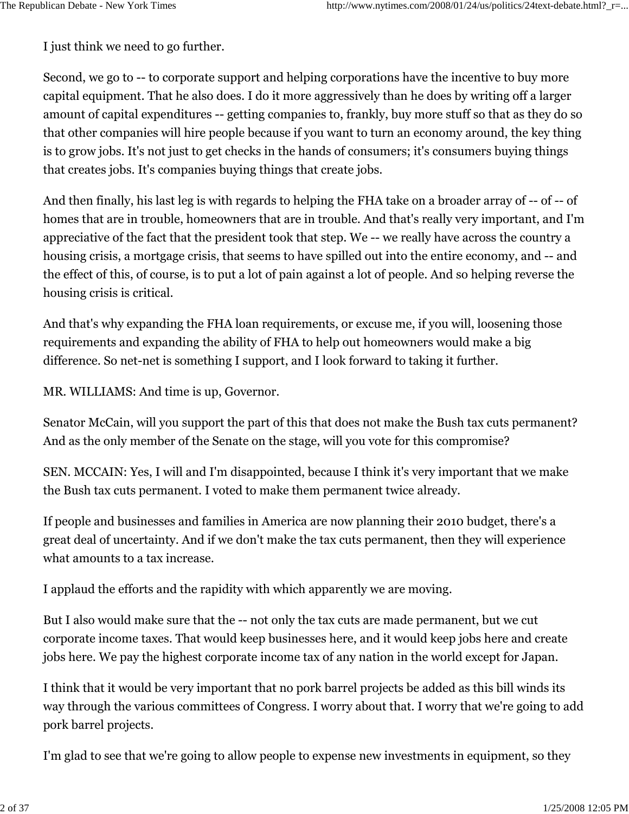I just think we need to go further.

Second, we go to -- to corporate support and helping corporations have the incentive to buy more capital equipment. That he also does. I do it more aggressively than he does by writing off a larger amount of capital expenditures -- getting companies to, frankly, buy more stuff so that as they do so that other companies will hire people because if you want to turn an economy around, the key thing is to grow jobs. It's not just to get checks in the hands of consumers; it's consumers buying things that creates jobs. It's companies buying things that create jobs.

And then finally, his last leg is with regards to helping the FHA take on a broader array of -- of -- of homes that are in trouble, homeowners that are in trouble. And that's really very important, and I'm appreciative of the fact that the president took that step. We -- we really have across the country a housing crisis, a mortgage crisis, that seems to have spilled out into the entire economy, and -- and the effect of this, of course, is to put a lot of pain against a lot of people. And so helping reverse the housing crisis is critical.

And that's why expanding the FHA loan requirements, or excuse me, if you will, loosening those requirements and expanding the ability of FHA to help out homeowners would make a big difference. So net-net is something I support, and I look forward to taking it further.

MR. WILLIAMS: And time is up, Governor.

Senator McCain, will you support the part of this that does not make the Bush tax cuts permanent? And as the only member of the Senate on the stage, will you vote for this compromise?

SEN. MCCAIN: Yes, I will and I'm disappointed, because I think it's very important that we make the Bush tax cuts permanent. I voted to make them permanent twice already.

If people and businesses and families in America are now planning their 2010 budget, there's a great deal of uncertainty. And if we don't make the tax cuts permanent, then they will experience what amounts to a tax increase.

I applaud the efforts and the rapidity with which apparently we are moving.

But I also would make sure that the -- not only the tax cuts are made permanent, but we cut corporate income taxes. That would keep businesses here, and it would keep jobs here and create jobs here. We pay the highest corporate income tax of any nation in the world except for Japan.

I think that it would be very important that no pork barrel projects be added as this bill winds its way through the various committees of Congress. I worry about that. I worry that we're going to add pork barrel projects.

I'm glad to see that we're going to allow people to expense new investments in equipment, so they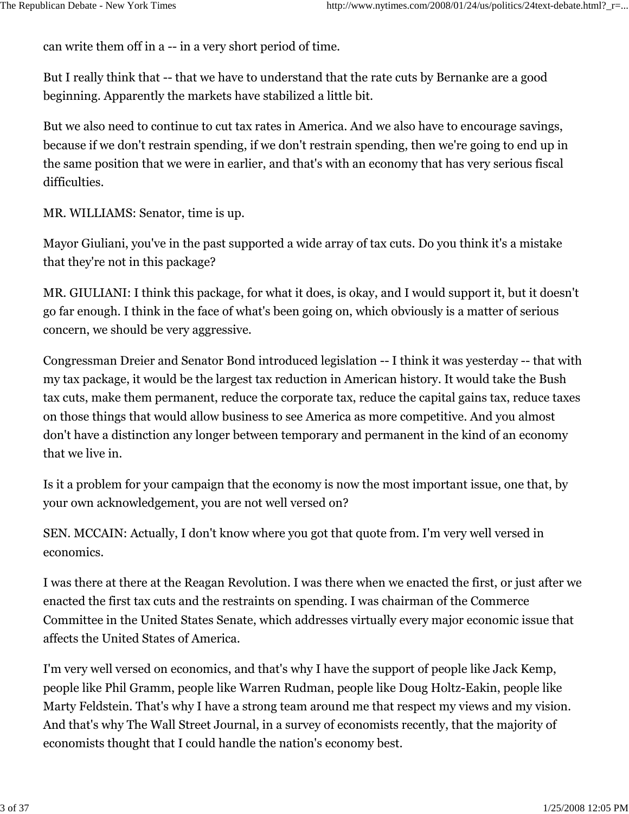can write them off in a -- in a very short period of time.

But I really think that -- that we have to understand that the rate cuts by Bernanke are a good beginning. Apparently the markets have stabilized a little bit.

But we also need to continue to cut tax rates in America. And we also have to encourage savings, because if we don't restrain spending, if we don't restrain spending, then we're going to end up in the same position that we were in earlier, and that's with an economy that has very serious fiscal difficulties.

MR. WILLIAMS: Senator, time is up.

Mayor Giuliani, you've in the past supported a wide array of tax cuts. Do you think it's a mistake that they're not in this package?

MR. GIULIANI: I think this package, for what it does, is okay, and I would support it, but it doesn't go far enough. I think in the face of what's been going on, which obviously is a matter of serious concern, we should be very aggressive.

Congressman Dreier and Senator Bond introduced legislation -- I think it was yesterday -- that with my tax package, it would be the largest tax reduction in American history. It would take the Bush tax cuts, make them permanent, reduce the corporate tax, reduce the capital gains tax, reduce taxes on those things that would allow business to see America as more competitive. And you almost don't have a distinction any longer between temporary and permanent in the kind of an economy that we live in.

Is it a problem for your campaign that the economy is now the most important issue, one that, by your own acknowledgement, you are not well versed on?

SEN. MCCAIN: Actually, I don't know where you got that quote from. I'm very well versed in economics.

I was there at there at the Reagan Revolution. I was there when we enacted the first, or just after we enacted the first tax cuts and the restraints on spending. I was chairman of the Commerce Committee in the United States Senate, which addresses virtually every major economic issue that affects the United States of America.

I'm very well versed on economics, and that's why I have the support of people like Jack Kemp, people like Phil Gramm, people like Warren Rudman, people like Doug Holtz-Eakin, people like Marty Feldstein. That's why I have a strong team around me that respect my views and my vision. And that's why The Wall Street Journal, in a survey of economists recently, that the majority of economists thought that I could handle the nation's economy best.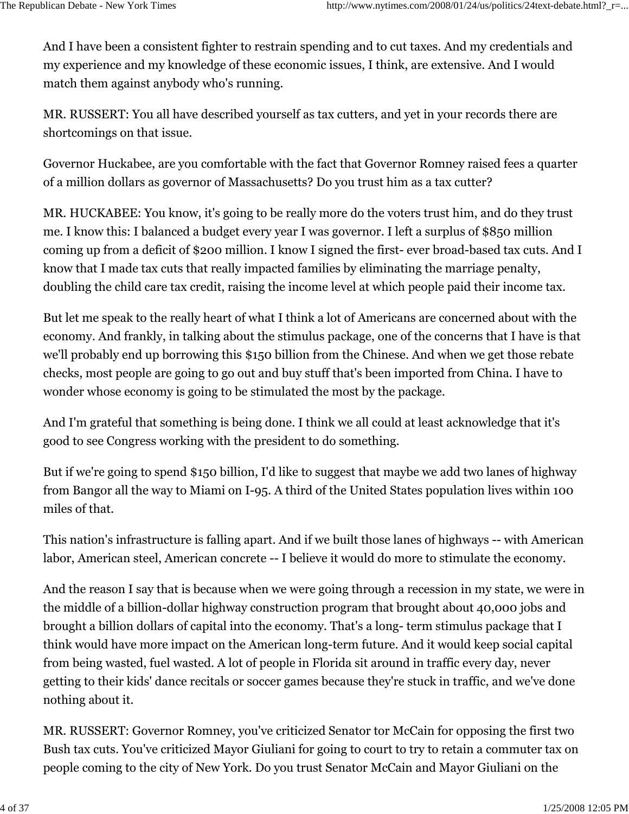And I have been a consistent fighter to restrain spending and to cut taxes. And my credentials and my experience and my knowledge of these economic issues, I think, are extensive. And I would match them against anybody who's running.

MR. RUSSERT: You all have described yourself as tax cutters, and yet in your records there are shortcomings on that issue.

Governor Huckabee, are you comfortable with the fact that Governor Romney raised fees a quarter of a million dollars as governor of Massachusetts? Do you trust him as a tax cutter?

MR. HUCKABEE: You know, it's going to be really more do the voters trust him, and do they trust me. I know this: I balanced a budget every year I was governor. I left a surplus of \$850 million coming up from a deficit of \$200 million. I know I signed the first- ever broad-based tax cuts. And I know that I made tax cuts that really impacted families by eliminating the marriage penalty, doubling the child care tax credit, raising the income level at which people paid their income tax.

But let me speak to the really heart of what I think a lot of Americans are concerned about with the economy. And frankly, in talking about the stimulus package, one of the concerns that I have is that we'll probably end up borrowing this \$150 billion from the Chinese. And when we get those rebate checks, most people are going to go out and buy stuff that's been imported from China. I have to wonder whose economy is going to be stimulated the most by the package.

And I'm grateful that something is being done. I think we all could at least acknowledge that it's good to see Congress working with the president to do something.

But if we're going to spend \$150 billion, I'd like to suggest that maybe we add two lanes of highway from Bangor all the way to Miami on I-95. A third of the United States population lives within 100 miles of that.

This nation's infrastructure is falling apart. And if we built those lanes of highways -- with American labor, American steel, American concrete -- I believe it would do more to stimulate the economy.

And the reason I say that is because when we were going through a recession in my state, we were in the middle of a billion-dollar highway construction program that brought about 40,000 jobs and brought a billion dollars of capital into the economy. That's a long- term stimulus package that I think would have more impact on the American long-term future. And it would keep social capital from being wasted, fuel wasted. A lot of people in Florida sit around in traffic every day, never getting to their kids' dance recitals or soccer games because they're stuck in traffic, and we've done nothing about it.

MR. RUSSERT: Governor Romney, you've criticized Senator tor McCain for opposing the first two Bush tax cuts. You've criticized Mayor Giuliani for going to court to try to retain a commuter tax on people coming to the city of New York. Do you trust Senator McCain and Mayor Giuliani on the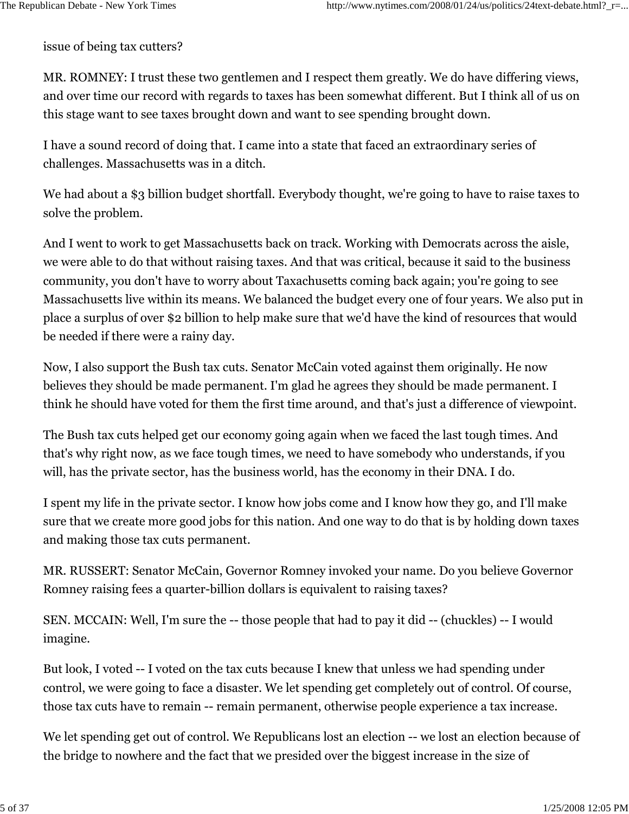issue of being tax cutters?

MR. ROMNEY: I trust these two gentlemen and I respect them greatly. We do have differing views, and over time our record with regards to taxes has been somewhat different. But I think all of us on this stage want to see taxes brought down and want to see spending brought down.

I have a sound record of doing that. I came into a state that faced an extraordinary series of challenges. Massachusetts was in a ditch.

We had about a \$3 billion budget shortfall. Everybody thought, we're going to have to raise taxes to solve the problem.

And I went to work to get Massachusetts back on track. Working with Democrats across the aisle, we were able to do that without raising taxes. And that was critical, because it said to the business community, you don't have to worry about Taxachusetts coming back again; you're going to see Massachusetts live within its means. We balanced the budget every one of four years. We also put in place a surplus of over \$2 billion to help make sure that we'd have the kind of resources that would be needed if there were a rainy day.

Now, I also support the Bush tax cuts. Senator McCain voted against them originally. He now believes they should be made permanent. I'm glad he agrees they should be made permanent. I think he should have voted for them the first time around, and that's just a difference of viewpoint.

The Bush tax cuts helped get our economy going again when we faced the last tough times. And that's why right now, as we face tough times, we need to have somebody who understands, if you will, has the private sector, has the business world, has the economy in their DNA. I do.

I spent my life in the private sector. I know how jobs come and I know how they go, and I'll make sure that we create more good jobs for this nation. And one way to do that is by holding down taxes and making those tax cuts permanent.

MR. RUSSERT: Senator McCain, Governor Romney invoked your name. Do you believe Governor Romney raising fees a quarter-billion dollars is equivalent to raising taxes?

SEN. MCCAIN: Well, I'm sure the -- those people that had to pay it did -- (chuckles) -- I would imagine.

But look, I voted -- I voted on the tax cuts because I knew that unless we had spending under control, we were going to face a disaster. We let spending get completely out of control. Of course, those tax cuts have to remain -- remain permanent, otherwise people experience a tax increase.

We let spending get out of control. We Republicans lost an election -- we lost an election because of the bridge to nowhere and the fact that we presided over the biggest increase in the size of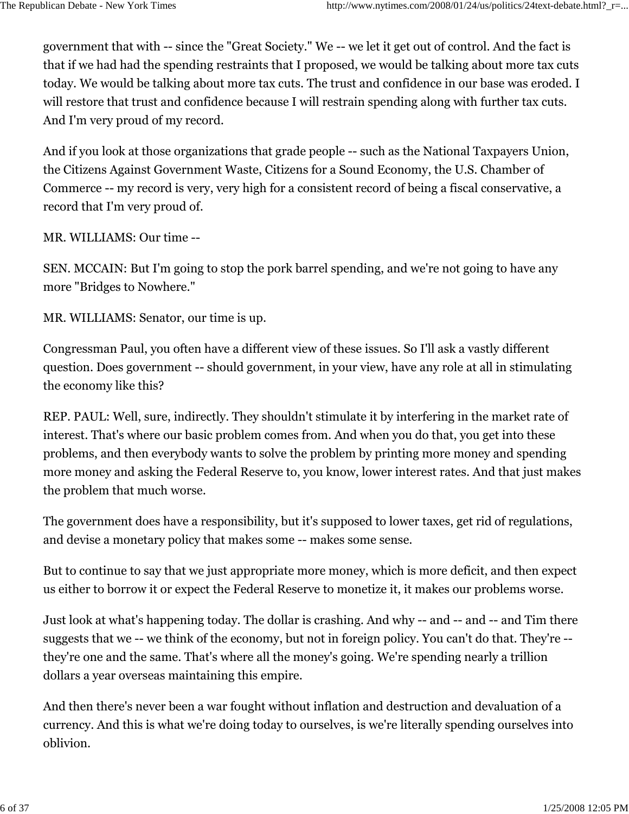government that with -- since the "Great Society." We -- we let it get out of control. And the fact is that if we had had the spending restraints that I proposed, we would be talking about more tax cuts today. We would be talking about more tax cuts. The trust and confidence in our base was eroded. I will restore that trust and confidence because I will restrain spending along with further tax cuts. And I'm very proud of my record.

And if you look at those organizations that grade people -- such as the National Taxpayers Union, the Citizens Against Government Waste, Citizens for a Sound Economy, the U.S. Chamber of Commerce -- my record is very, very high for a consistent record of being a fiscal conservative, a record that I'm very proud of.

MR. WILLIAMS: Our time --

SEN. MCCAIN: But I'm going to stop the pork barrel spending, and we're not going to have any more "Bridges to Nowhere."

MR. WILLIAMS: Senator, our time is up.

Congressman Paul, you often have a different view of these issues. So I'll ask a vastly different question. Does government -- should government, in your view, have any role at all in stimulating the economy like this?

REP. PAUL: Well, sure, indirectly. They shouldn't stimulate it by interfering in the market rate of interest. That's where our basic problem comes from. And when you do that, you get into these problems, and then everybody wants to solve the problem by printing more money and spending more money and asking the Federal Reserve to, you know, lower interest rates. And that just makes the problem that much worse.

The government does have a responsibility, but it's supposed to lower taxes, get rid of regulations, and devise a monetary policy that makes some -- makes some sense.

But to continue to say that we just appropriate more money, which is more deficit, and then expect us either to borrow it or expect the Federal Reserve to monetize it, it makes our problems worse.

Just look at what's happening today. The dollar is crashing. And why -- and -- and -- and Tim there suggests that we -- we think of the economy, but not in foreign policy. You can't do that. They're - they're one and the same. That's where all the money's going. We're spending nearly a trillion dollars a year overseas maintaining this empire.

And then there's never been a war fought without inflation and destruction and devaluation of a currency. And this is what we're doing today to ourselves, is we're literally spending ourselves into oblivion.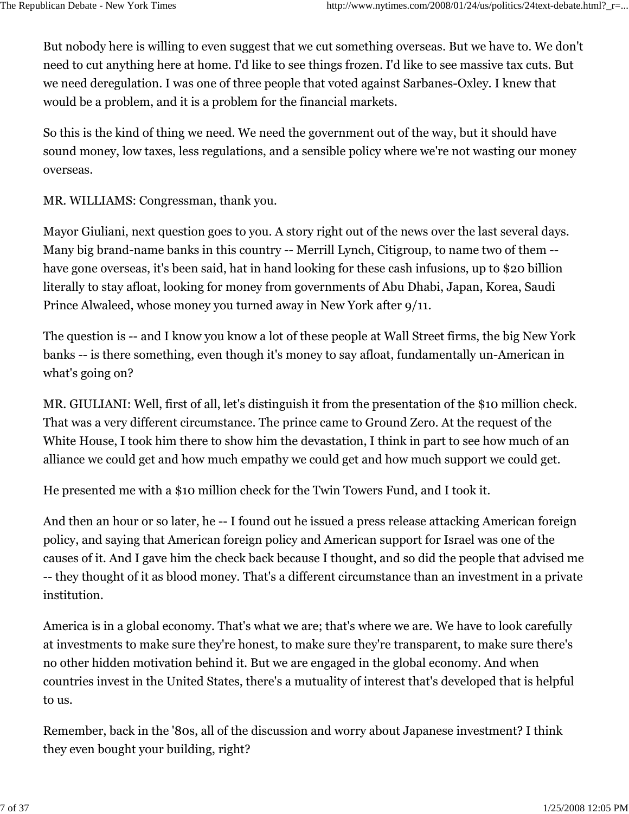But nobody here is willing to even suggest that we cut something overseas. But we have to. We don't need to cut anything here at home. I'd like to see things frozen. I'd like to see massive tax cuts. But we need deregulation. I was one of three people that voted against Sarbanes-Oxley. I knew that would be a problem, and it is a problem for the financial markets.

So this is the kind of thing we need. We need the government out of the way, but it should have sound money, low taxes, less regulations, and a sensible policy where we're not wasting our money overseas.

## MR. WILLIAMS: Congressman, thank you.

Mayor Giuliani, next question goes to you. A story right out of the news over the last several days. Many big brand-name banks in this country -- Merrill Lynch, Citigroup, to name two of them - have gone overseas, it's been said, hat in hand looking for these cash infusions, up to \$20 billion literally to stay afloat, looking for money from governments of Abu Dhabi, Japan, Korea, Saudi Prince Alwaleed, whose money you turned away in New York after 9/11.

The question is -- and I know you know a lot of these people at Wall Street firms, the big New York banks -- is there something, even though it's money to say afloat, fundamentally un-American in what's going on?

MR. GIULIANI: Well, first of all, let's distinguish it from the presentation of the \$10 million check. That was a very different circumstance. The prince came to Ground Zero. At the request of the White House, I took him there to show him the devastation, I think in part to see how much of an alliance we could get and how much empathy we could get and how much support we could get.

He presented me with a \$10 million check for the Twin Towers Fund, and I took it.

And then an hour or so later, he -- I found out he issued a press release attacking American foreign policy, and saying that American foreign policy and American support for Israel was one of the causes of it. And I gave him the check back because I thought, and so did the people that advised me -- they thought of it as blood money. That's a different circumstance than an investment in a private institution.

America is in a global economy. That's what we are; that's where we are. We have to look carefully at investments to make sure they're honest, to make sure they're transparent, to make sure there's no other hidden motivation behind it. But we are engaged in the global economy. And when countries invest in the United States, there's a mutuality of interest that's developed that is helpful to us.

Remember, back in the '80s, all of the discussion and worry about Japanese investment? I think they even bought your building, right?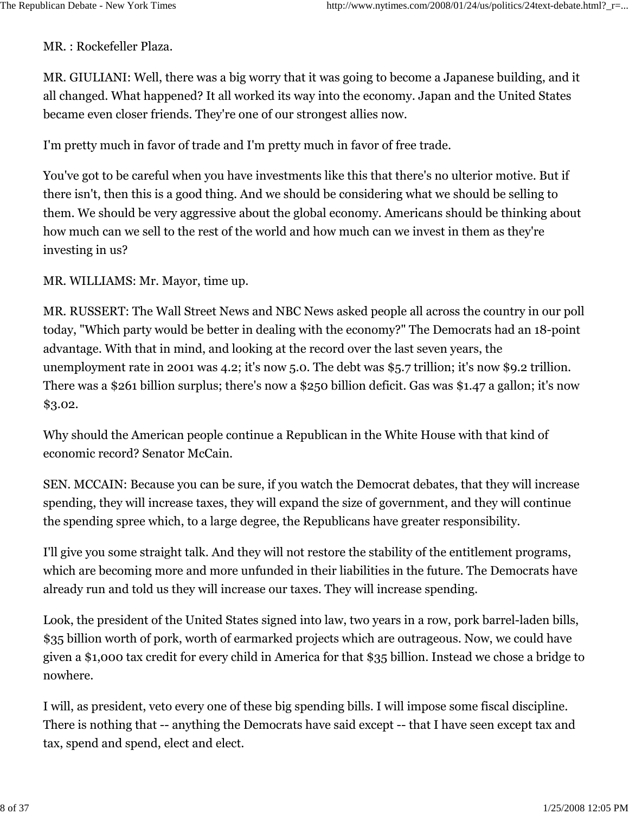MR. : Rockefeller Plaza.

MR. GIULIANI: Well, there was a big worry that it was going to become a Japanese building, and it all changed. What happened? It all worked its way into the economy. Japan and the United States became even closer friends. They're one of our strongest allies now.

I'm pretty much in favor of trade and I'm pretty much in favor of free trade.

You've got to be careful when you have investments like this that there's no ulterior motive. But if there isn't, then this is a good thing. And we should be considering what we should be selling to them. We should be very aggressive about the global economy. Americans should be thinking about how much can we sell to the rest of the world and how much can we invest in them as they're investing in us?

MR. WILLIAMS: Mr. Mayor, time up.

MR. RUSSERT: The Wall Street News and NBC News asked people all across the country in our poll today, "Which party would be better in dealing with the economy?" The Democrats had an 18-point advantage. With that in mind, and looking at the record over the last seven years, the unemployment rate in 2001 was 4.2; it's now 5.0. The debt was \$5.7 trillion; it's now \$9.2 trillion. There was a \$261 billion surplus; there's now a \$250 billion deficit. Gas was \$1.47 a gallon; it's now \$3.02.

Why should the American people continue a Republican in the White House with that kind of economic record? Senator McCain.

SEN. MCCAIN: Because you can be sure, if you watch the Democrat debates, that they will increase spending, they will increase taxes, they will expand the size of government, and they will continue the spending spree which, to a large degree, the Republicans have greater responsibility.

I'll give you some straight talk. And they will not restore the stability of the entitlement programs, which are becoming more and more unfunded in their liabilities in the future. The Democrats have already run and told us they will increase our taxes. They will increase spending.

Look, the president of the United States signed into law, two years in a row, pork barrel-laden bills, \$35 billion worth of pork, worth of earmarked projects which are outrageous. Now, we could have given a \$1,000 tax credit for every child in America for that \$35 billion. Instead we chose a bridge to nowhere.

I will, as president, veto every one of these big spending bills. I will impose some fiscal discipline. There is nothing that -- anything the Democrats have said except -- that I have seen except tax and tax, spend and spend, elect and elect.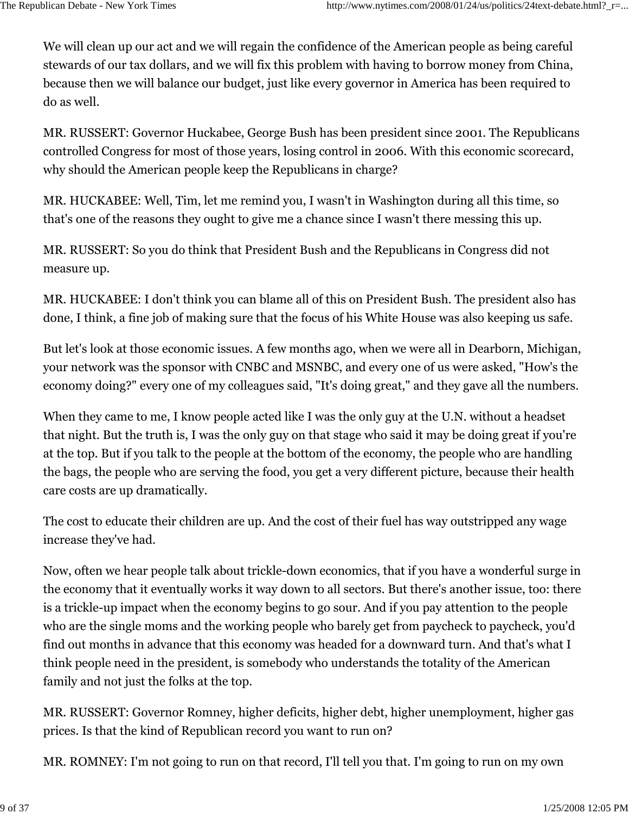We will clean up our act and we will regain the confidence of the American people as being careful stewards of our tax dollars, and we will fix this problem with having to borrow money from China, because then we will balance our budget, just like every governor in America has been required to do as well.

MR. RUSSERT: Governor Huckabee, George Bush has been president since 2001. The Republicans controlled Congress for most of those years, losing control in 2006. With this economic scorecard, why should the American people keep the Republicans in charge?

MR. HUCKABEE: Well, Tim, let me remind you, I wasn't in Washington during all this time, so that's one of the reasons they ought to give me a chance since I wasn't there messing this up.

MR. RUSSERT: So you do think that President Bush and the Republicans in Congress did not measure up.

MR. HUCKABEE: I don't think you can blame all of this on President Bush. The president also has done, I think, a fine job of making sure that the focus of his White House was also keeping us safe.

But let's look at those economic issues. A few months ago, when we were all in Dearborn, Michigan, your network was the sponsor with CNBC and MSNBC, and every one of us were asked, "How's the economy doing?" every one of my colleagues said, "It's doing great," and they gave all the numbers.

When they came to me, I know people acted like I was the only guy at the U.N. without a headset that night. But the truth is, I was the only guy on that stage who said it may be doing great if you're at the top. But if you talk to the people at the bottom of the economy, the people who are handling the bags, the people who are serving the food, you get a very different picture, because their health care costs are up dramatically.

The cost to educate their children are up. And the cost of their fuel has way outstripped any wage increase they've had.

Now, often we hear people talk about trickle-down economics, that if you have a wonderful surge in the economy that it eventually works it way down to all sectors. But there's another issue, too: there is a trickle-up impact when the economy begins to go sour. And if you pay attention to the people who are the single moms and the working people who barely get from paycheck to paycheck, you'd find out months in advance that this economy was headed for a downward turn. And that's what I think people need in the president, is somebody who understands the totality of the American family and not just the folks at the top.

MR. RUSSERT: Governor Romney, higher deficits, higher debt, higher unemployment, higher gas prices. Is that the kind of Republican record you want to run on?

MR. ROMNEY: I'm not going to run on that record, I'll tell you that. I'm going to run on my own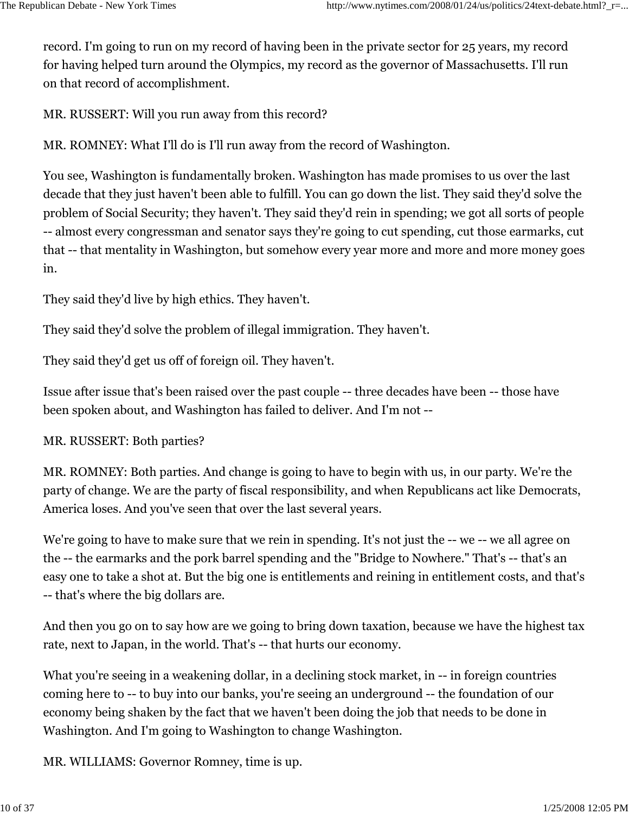record. I'm going to run on my record of having been in the private sector for 25 years, my record for having helped turn around the Olympics, my record as the governor of Massachusetts. I'll run on that record of accomplishment.

MR. RUSSERT: Will you run away from this record?

MR. ROMNEY: What I'll do is I'll run away from the record of Washington.

You see, Washington is fundamentally broken. Washington has made promises to us over the last decade that they just haven't been able to fulfill. You can go down the list. They said they'd solve the problem of Social Security; they haven't. They said they'd rein in spending; we got all sorts of people -- almost every congressman and senator says they're going to cut spending, cut those earmarks, cut that -- that mentality in Washington, but somehow every year more and more and more money goes in.

They said they'd live by high ethics. They haven't.

They said they'd solve the problem of illegal immigration. They haven't.

They said they'd get us off of foreign oil. They haven't.

Issue after issue that's been raised over the past couple -- three decades have been -- those have been spoken about, and Washington has failed to deliver. And I'm not --

MR. RUSSERT: Both parties?

MR. ROMNEY: Both parties. And change is going to have to begin with us, in our party. We're the party of change. We are the party of fiscal responsibility, and when Republicans act like Democrats, America loses. And you've seen that over the last several years.

We're going to have to make sure that we rein in spending. It's not just the -- we -- we all agree on the -- the earmarks and the pork barrel spending and the "Bridge to Nowhere." That's -- that's an easy one to take a shot at. But the big one is entitlements and reining in entitlement costs, and that's -- that's where the big dollars are.

And then you go on to say how are we going to bring down taxation, because we have the highest tax rate, next to Japan, in the world. That's -- that hurts our economy.

What you're seeing in a weakening dollar, in a declining stock market, in -- in foreign countries coming here to -- to buy into our banks, you're seeing an underground -- the foundation of our economy being shaken by the fact that we haven't been doing the job that needs to be done in Washington. And I'm going to Washington to change Washington.

MR. WILLIAMS: Governor Romney, time is up.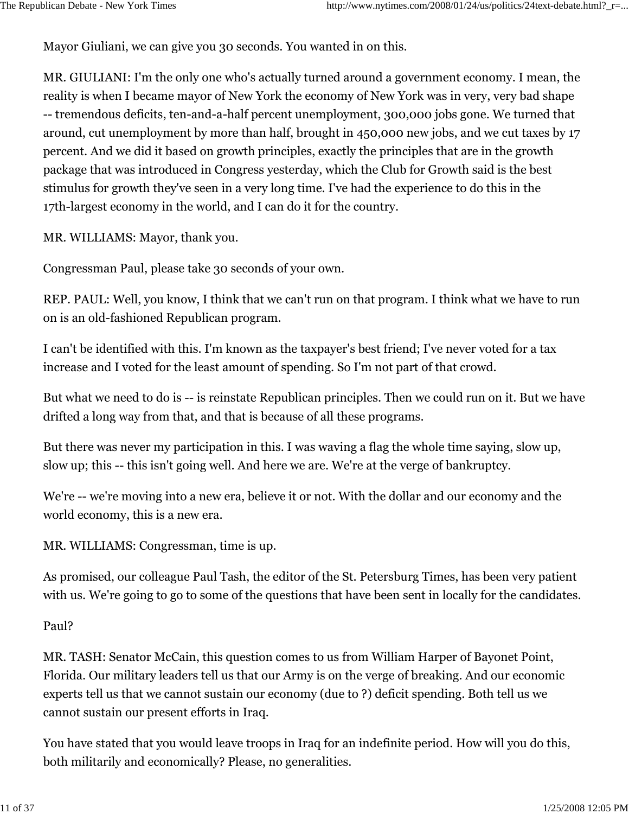Mayor Giuliani, we can give you 30 seconds. You wanted in on this.

MR. GIULIANI: I'm the only one who's actually turned around a government economy. I mean, the reality is when I became mayor of New York the economy of New York was in very, very bad shape -- tremendous deficits, ten-and-a-half percent unemployment, 300,000 jobs gone. We turned that around, cut unemployment by more than half, brought in 450,000 new jobs, and we cut taxes by 17 percent. And we did it based on growth principles, exactly the principles that are in the growth package that was introduced in Congress yesterday, which the Club for Growth said is the best stimulus for growth they've seen in a very long time. I've had the experience to do this in the 17th-largest economy in the world, and I can do it for the country.

MR. WILLIAMS: Mayor, thank you.

Congressman Paul, please take 30 seconds of your own.

REP. PAUL: Well, you know, I think that we can't run on that program. I think what we have to run on is an old-fashioned Republican program.

I can't be identified with this. I'm known as the taxpayer's best friend; I've never voted for a tax increase and I voted for the least amount of spending. So I'm not part of that crowd.

But what we need to do is -- is reinstate Republican principles. Then we could run on it. But we have drifted a long way from that, and that is because of all these programs.

But there was never my participation in this. I was waving a flag the whole time saying, slow up, slow up; this -- this isn't going well. And here we are. We're at the verge of bankruptcy.

We're -- we're moving into a new era, believe it or not. With the dollar and our economy and the world economy, this is a new era.

MR. WILLIAMS: Congressman, time is up.

As promised, our colleague Paul Tash, the editor of the St. Petersburg Times, has been very patient with us. We're going to go to some of the questions that have been sent in locally for the candidates.

Paul?

MR. TASH: Senator McCain, this question comes to us from William Harper of Bayonet Point, Florida. Our military leaders tell us that our Army is on the verge of breaking. And our economic experts tell us that we cannot sustain our economy (due to ?) deficit spending. Both tell us we cannot sustain our present efforts in Iraq.

You have stated that you would leave troops in Iraq for an indefinite period. How will you do this, both militarily and economically? Please, no generalities.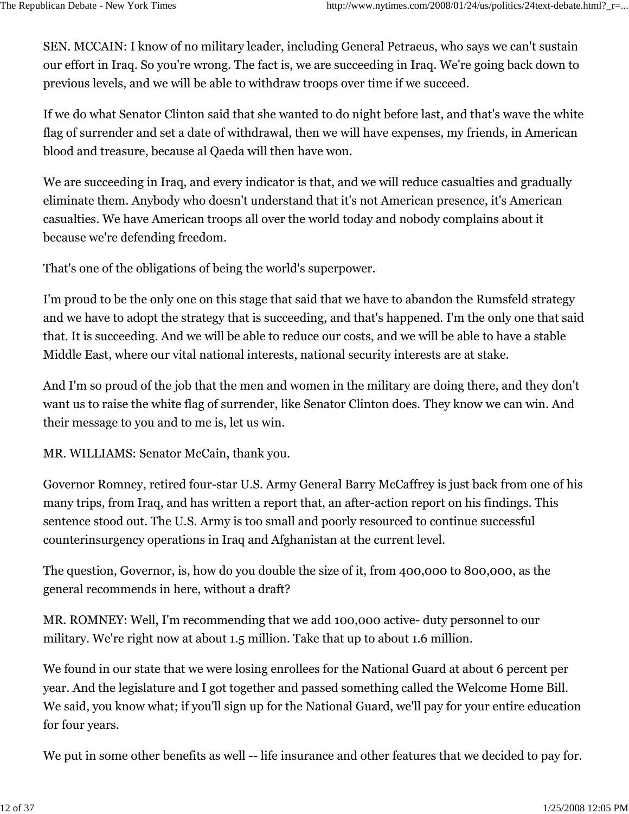SEN. MCCAIN: I know of no military leader, including General Petraeus, who says we can't sustain our effort in Iraq. So you're wrong. The fact is, we are succeeding in Iraq. We're going back down to previous levels, and we will be able to withdraw troops over time if we succeed.

If we do what Senator Clinton said that she wanted to do night before last, and that's wave the white flag of surrender and set a date of withdrawal, then we will have expenses, my friends, in American blood and treasure, because al Qaeda will then have won.

We are succeeding in Iraq, and every indicator is that, and we will reduce casualties and gradually eliminate them. Anybody who doesn't understand that it's not American presence, it's American casualties. We have American troops all over the world today and nobody complains about it because we're defending freedom.

That's one of the obligations of being the world's superpower.

I'm proud to be the only one on this stage that said that we have to abandon the Rumsfeld strategy and we have to adopt the strategy that is succeeding, and that's happened. I'm the only one that said that. It is succeeding. And we will be able to reduce our costs, and we will be able to have a stable Middle East, where our vital national interests, national security interests are at stake.

And I'm so proud of the job that the men and women in the military are doing there, and they don't want us to raise the white flag of surrender, like Senator Clinton does. They know we can win. And their message to you and to me is, let us win.

MR. WILLIAMS: Senator McCain, thank you.

Governor Romney, retired four-star U.S. Army General Barry McCaffrey is just back from one of his many trips, from Iraq, and has written a report that, an after-action report on his findings. This sentence stood out. The U.S. Army is too small and poorly resourced to continue successful counterinsurgency operations in Iraq and Afghanistan at the current level.

The question, Governor, is, how do you double the size of it, from 400,000 to 800,000, as the general recommends in here, without a draft?

MR. ROMNEY: Well, I'm recommending that we add 100,000 active- duty personnel to our military. We're right now at about 1.5 million. Take that up to about 1.6 million.

We found in our state that we were losing enrollees for the National Guard at about 6 percent per year. And the legislature and I got together and passed something called the Welcome Home Bill. We said, you know what; if you'll sign up for the National Guard, we'll pay for your entire education for four years.

We put in some other benefits as well -- life insurance and other features that we decided to pay for.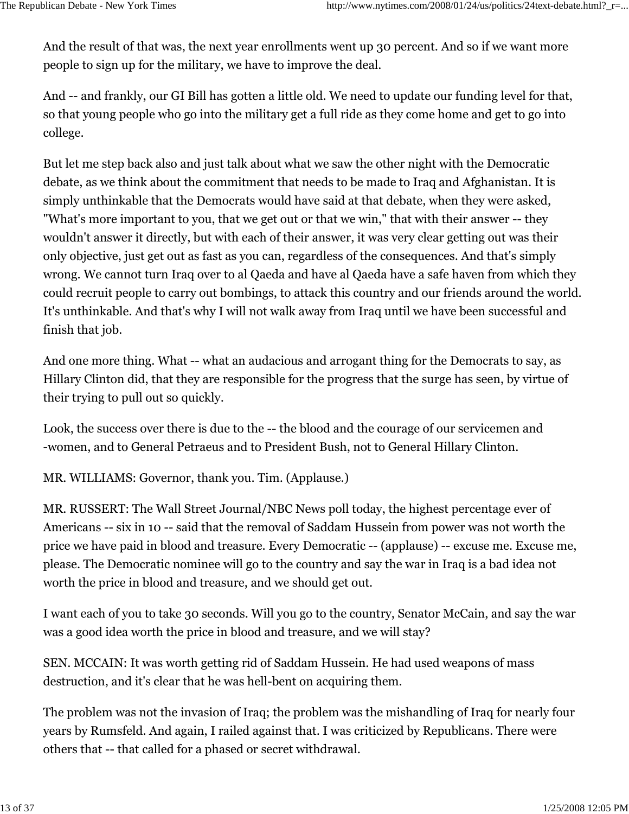And the result of that was, the next year enrollments went up 30 percent. And so if we want more people to sign up for the military, we have to improve the deal.

And -- and frankly, our GI Bill has gotten a little old. We need to update our funding level for that, so that young people who go into the military get a full ride as they come home and get to go into college.

But let me step back also and just talk about what we saw the other night with the Democratic debate, as we think about the commitment that needs to be made to Iraq and Afghanistan. It is simply unthinkable that the Democrats would have said at that debate, when they were asked, "What's more important to you, that we get out or that we win," that with their answer -- they wouldn't answer it directly, but with each of their answer, it was very clear getting out was their only objective, just get out as fast as you can, regardless of the consequences. And that's simply wrong. We cannot turn Iraq over to al Qaeda and have al Qaeda have a safe haven from which they could recruit people to carry out bombings, to attack this country and our friends around the world. It's unthinkable. And that's why I will not walk away from Iraq until we have been successful and finish that job.

And one more thing. What -- what an audacious and arrogant thing for the Democrats to say, as Hillary Clinton did, that they are responsible for the progress that the surge has seen, by virtue of their trying to pull out so quickly.

Look, the success over there is due to the -- the blood and the courage of our servicemen and -women, and to General Petraeus and to President Bush, not to General Hillary Clinton.

MR. WILLIAMS: Governor, thank you. Tim. (Applause.)

MR. RUSSERT: The Wall Street Journal/NBC News poll today, the highest percentage ever of Americans -- six in 10 -- said that the removal of Saddam Hussein from power was not worth the price we have paid in blood and treasure. Every Democratic -- (applause) -- excuse me. Excuse me, please. The Democratic nominee will go to the country and say the war in Iraq is a bad idea not worth the price in blood and treasure, and we should get out.

I want each of you to take 30 seconds. Will you go to the country, Senator McCain, and say the war was a good idea worth the price in blood and treasure, and we will stay?

SEN. MCCAIN: It was worth getting rid of Saddam Hussein. He had used weapons of mass destruction, and it's clear that he was hell-bent on acquiring them.

The problem was not the invasion of Iraq; the problem was the mishandling of Iraq for nearly four years by Rumsfeld. And again, I railed against that. I was criticized by Republicans. There were others that -- that called for a phased or secret withdrawal.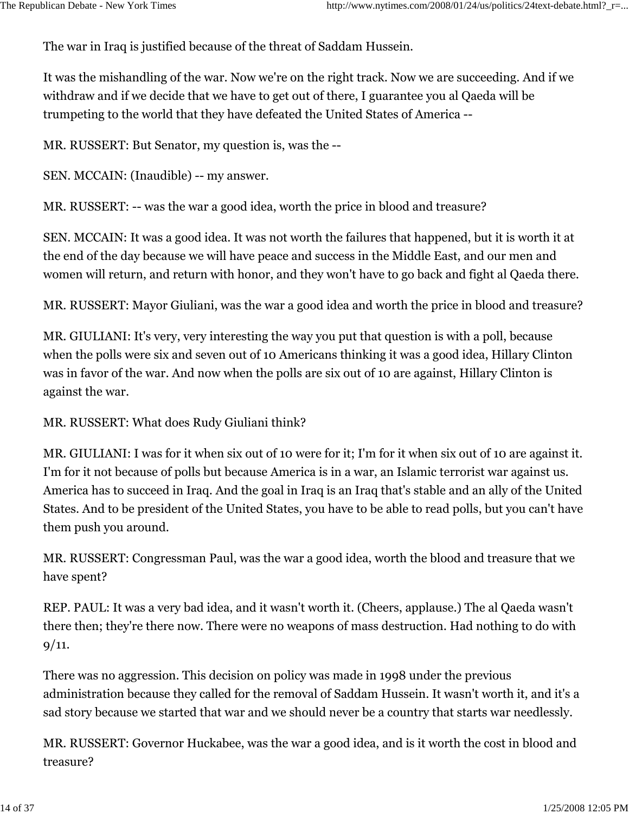The war in Iraq is justified because of the threat of Saddam Hussein.

It was the mishandling of the war. Now we're on the right track. Now we are succeeding. And if we withdraw and if we decide that we have to get out of there, I guarantee you al Qaeda will be trumpeting to the world that they have defeated the United States of America --

MR. RUSSERT: But Senator, my question is, was the --

SEN. MCCAIN: (Inaudible) -- my answer.

MR. RUSSERT: -- was the war a good idea, worth the price in blood and treasure?

SEN. MCCAIN: It was a good idea. It was not worth the failures that happened, but it is worth it at the end of the day because we will have peace and success in the Middle East, and our men and women will return, and return with honor, and they won't have to go back and fight al Qaeda there.

MR. RUSSERT: Mayor Giuliani, was the war a good idea and worth the price in blood and treasure?

MR. GIULIANI: It's very, very interesting the way you put that question is with a poll, because when the polls were six and seven out of 10 Americans thinking it was a good idea, Hillary Clinton was in favor of the war. And now when the polls are six out of 10 are against, Hillary Clinton is against the war.

MR. RUSSERT: What does Rudy Giuliani think?

MR. GIULIANI: I was for it when six out of 10 were for it; I'm for it when six out of 10 are against it. I'm for it not because of polls but because America is in a war, an Islamic terrorist war against us. America has to succeed in Iraq. And the goal in Iraq is an Iraq that's stable and an ally of the United States. And to be president of the United States, you have to be able to read polls, but you can't have them push you around.

MR. RUSSERT: Congressman Paul, was the war a good idea, worth the blood and treasure that we have spent?

REP. PAUL: It was a very bad idea, and it wasn't worth it. (Cheers, applause.) The al Qaeda wasn't there then; they're there now. There were no weapons of mass destruction. Had nothing to do with  $9/11.$ 

There was no aggression. This decision on policy was made in 1998 under the previous administration because they called for the removal of Saddam Hussein. It wasn't worth it, and it's a sad story because we started that war and we should never be a country that starts war needlessly.

MR. RUSSERT: Governor Huckabee, was the war a good idea, and is it worth the cost in blood and treasure?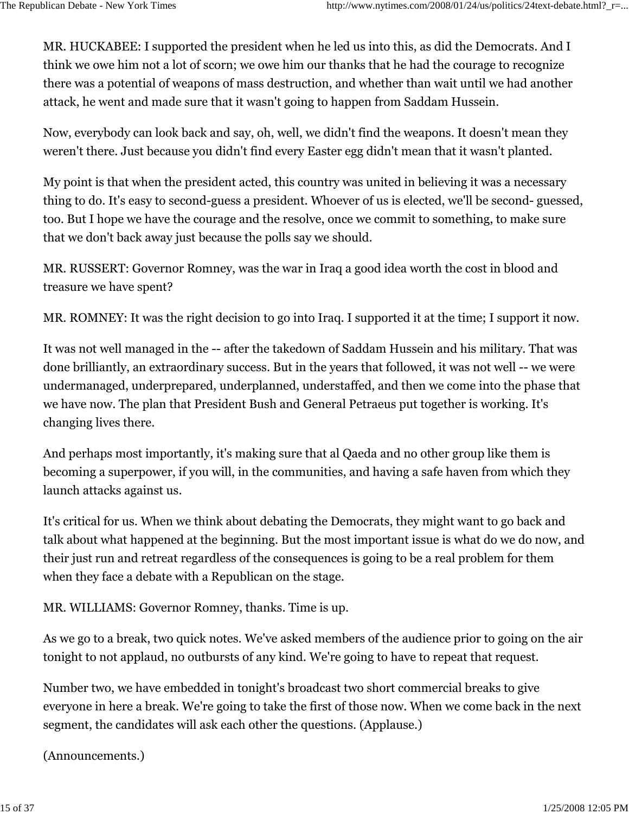MR. HUCKABEE: I supported the president when he led us into this, as did the Democrats. And I think we owe him not a lot of scorn; we owe him our thanks that he had the courage to recognize there was a potential of weapons of mass destruction, and whether than wait until we had another attack, he went and made sure that it wasn't going to happen from Saddam Hussein.

Now, everybody can look back and say, oh, well, we didn't find the weapons. It doesn't mean they weren't there. Just because you didn't find every Easter egg didn't mean that it wasn't planted.

My point is that when the president acted, this country was united in believing it was a necessary thing to do. It's easy to second-guess a president. Whoever of us is elected, we'll be second- guessed, too. But I hope we have the courage and the resolve, once we commit to something, to make sure that we don't back away just because the polls say we should.

MR. RUSSERT: Governor Romney, was the war in Iraq a good idea worth the cost in blood and treasure we have spent?

MR. ROMNEY: It was the right decision to go into Iraq. I supported it at the time; I support it now.

It was not well managed in the -- after the takedown of Saddam Hussein and his military. That was done brilliantly, an extraordinary success. But in the years that followed, it was not well -- we were undermanaged, underprepared, underplanned, understaffed, and then we come into the phase that we have now. The plan that President Bush and General Petraeus put together is working. It's changing lives there.

And perhaps most importantly, it's making sure that al Qaeda and no other group like them is becoming a superpower, if you will, in the communities, and having a safe haven from which they launch attacks against us.

It's critical for us. When we think about debating the Democrats, they might want to go back and talk about what happened at the beginning. But the most important issue is what do we do now, and their just run and retreat regardless of the consequences is going to be a real problem for them when they face a debate with a Republican on the stage.

MR. WILLIAMS: Governor Romney, thanks. Time is up.

As we go to a break, two quick notes. We've asked members of the audience prior to going on the air tonight to not applaud, no outbursts of any kind. We're going to have to repeat that request.

Number two, we have embedded in tonight's broadcast two short commercial breaks to give everyone in here a break. We're going to take the first of those now. When we come back in the next segment, the candidates will ask each other the questions. (Applause.)

(Announcements.)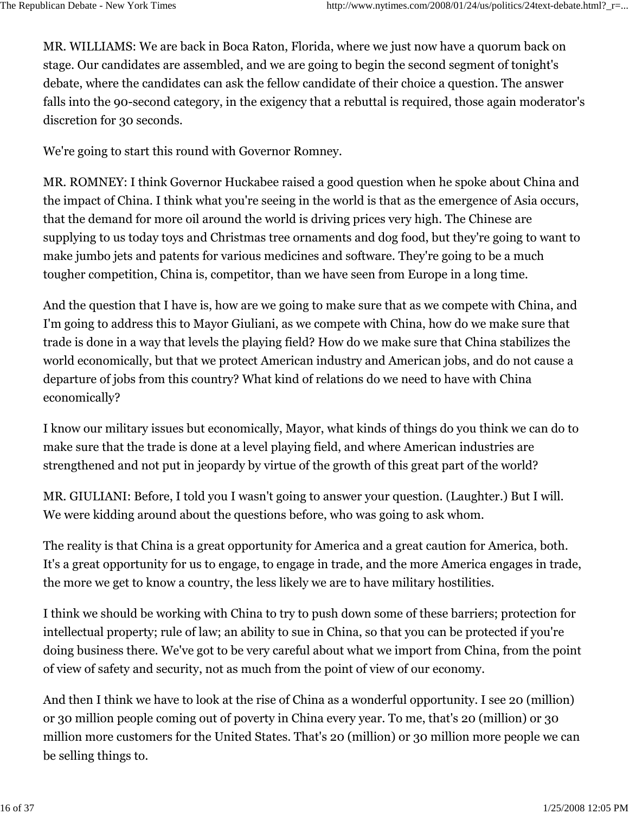MR. WILLIAMS: We are back in Boca Raton, Florida, where we just now have a quorum back on stage. Our candidates are assembled, and we are going to begin the second segment of tonight's debate, where the candidates can ask the fellow candidate of their choice a question. The answer falls into the 90-second category, in the exigency that a rebuttal is required, those again moderator's discretion for 30 seconds.

We're going to start this round with Governor Romney.

MR. ROMNEY: I think Governor Huckabee raised a good question when he spoke about China and the impact of China. I think what you're seeing in the world is that as the emergence of Asia occurs, that the demand for more oil around the world is driving prices very high. The Chinese are supplying to us today toys and Christmas tree ornaments and dog food, but they're going to want to make jumbo jets and patents for various medicines and software. They're going to be a much tougher competition, China is, competitor, than we have seen from Europe in a long time.

And the question that I have is, how are we going to make sure that as we compete with China, and I'm going to address this to Mayor Giuliani, as we compete with China, how do we make sure that trade is done in a way that levels the playing field? How do we make sure that China stabilizes the world economically, but that we protect American industry and American jobs, and do not cause a departure of jobs from this country? What kind of relations do we need to have with China economically?

I know our military issues but economically, Mayor, what kinds of things do you think we can do to make sure that the trade is done at a level playing field, and where American industries are strengthened and not put in jeopardy by virtue of the growth of this great part of the world?

MR. GIULIANI: Before, I told you I wasn't going to answer your question. (Laughter.) But I will. We were kidding around about the questions before, who was going to ask whom.

The reality is that China is a great opportunity for America and a great caution for America, both. It's a great opportunity for us to engage, to engage in trade, and the more America engages in trade, the more we get to know a country, the less likely we are to have military hostilities.

I think we should be working with China to try to push down some of these barriers; protection for intellectual property; rule of law; an ability to sue in China, so that you can be protected if you're doing business there. We've got to be very careful about what we import from China, from the point of view of safety and security, not as much from the point of view of our economy.

And then I think we have to look at the rise of China as a wonderful opportunity. I see 20 (million) or 30 million people coming out of poverty in China every year. To me, that's 20 (million) or 30 million more customers for the United States. That's 20 (million) or 30 million more people we can be selling things to.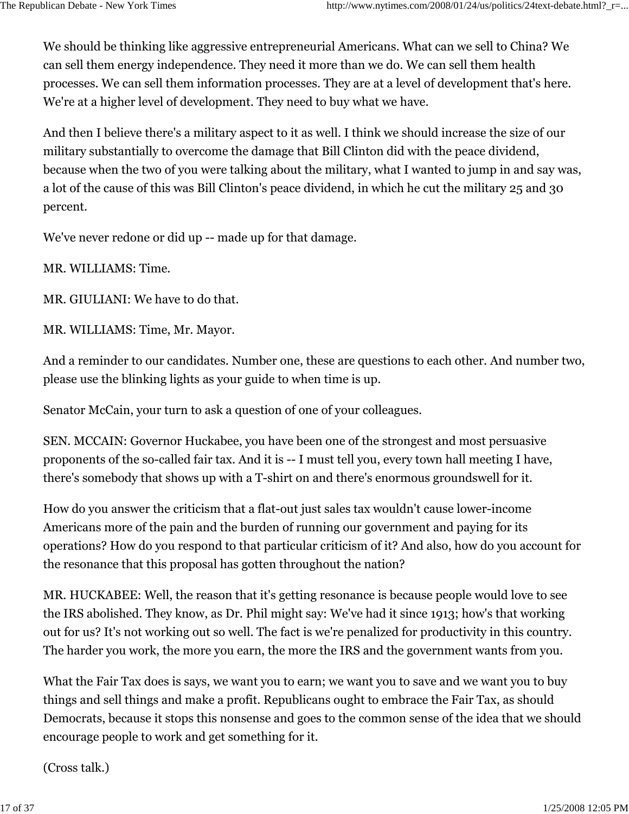We should be thinking like aggressive entrepreneurial Americans. What can we sell to China? We can sell them energy independence. They need it more than we do. We can sell them health processes. We can sell them information processes. They are at a level of development that's here. We're at a higher level of development. They need to buy what we have.

And then I believe there's a military aspect to it as well. I think we should increase the size of our military substantially to overcome the damage that Bill Clinton did with the peace dividend, because when the two of you were talking about the military, what I wanted to jump in and say was, a lot of the cause of this was Bill Clinton's peace dividend, in which he cut the military 25 and 30 percent.

We've never redone or did up -- made up for that damage.

MR. WILLIAMS: Time.

MR. GIULIANI: We have to do that.

MR. WILLIAMS: Time, Mr. Mayor.

And a reminder to our candidates. Number one, these are questions to each other. And number two, please use the blinking lights as your guide to when time is up.

Senator McCain, your turn to ask a question of one of your colleagues.

SEN. MCCAIN: Governor Huckabee, you have been one of the strongest and most persuasive proponents of the so-called fair tax. And it is -- I must tell you, every town hall meeting I have, there's somebody that shows up with a T-shirt on and there's enormous groundswell for it.

How do you answer the criticism that a flat-out just sales tax wouldn't cause lower-income Americans more of the pain and the burden of running our government and paying for its operations? How do you respond to that particular criticism of it? And also, how do you account for the resonance that this proposal has gotten throughout the nation?

MR. HUCKABEE: Well, the reason that it's getting resonance is because people would love to see the IRS abolished. They know, as Dr. Phil might say: We've had it since 1913; how's that working out for us? It's not working out so well. The fact is we're penalized for productivity in this country. The harder you work, the more you earn, the more the IRS and the government wants from you.

What the Fair Tax does is says, we want you to earn; we want you to save and we want you to buy things and sell things and make a profit. Republicans ought to embrace the Fair Tax, as should Democrats, because it stops this nonsense and goes to the common sense of the idea that we should encourage people to work and get something for it.

(Cross talk.)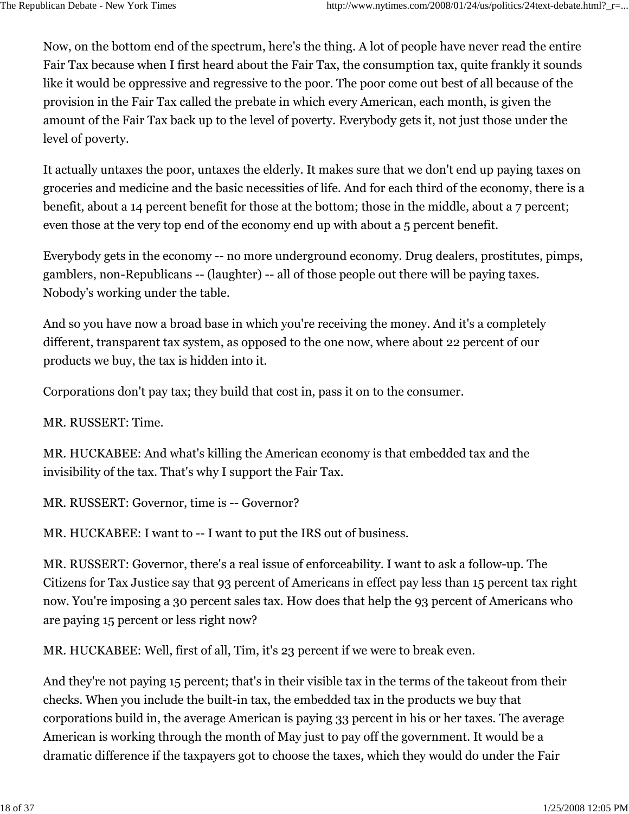Now, on the bottom end of the spectrum, here's the thing. A lot of people have never read the entire Fair Tax because when I first heard about the Fair Tax, the consumption tax, quite frankly it sounds like it would be oppressive and regressive to the poor. The poor come out best of all because of the provision in the Fair Tax called the prebate in which every American, each month, is given the amount of the Fair Tax back up to the level of poverty. Everybody gets it, not just those under the level of poverty.

It actually untaxes the poor, untaxes the elderly. It makes sure that we don't end up paying taxes on groceries and medicine and the basic necessities of life. And for each third of the economy, there is a benefit, about a 14 percent benefit for those at the bottom; those in the middle, about a 7 percent; even those at the very top end of the economy end up with about a 5 percent benefit.

Everybody gets in the economy -- no more underground economy. Drug dealers, prostitutes, pimps, gamblers, non-Republicans -- (laughter) -- all of those people out there will be paying taxes. Nobody's working under the table.

And so you have now a broad base in which you're receiving the money. And it's a completely different, transparent tax system, as opposed to the one now, where about 22 percent of our products we buy, the tax is hidden into it.

Corporations don't pay tax; they build that cost in, pass it on to the consumer.

MR. RUSSERT: Time.

MR. HUCKABEE: And what's killing the American economy is that embedded tax and the invisibility of the tax. That's why I support the Fair Tax.

MR. RUSSERT: Governor, time is -- Governor?

MR. HUCKABEE: I want to -- I want to put the IRS out of business.

MR. RUSSERT: Governor, there's a real issue of enforceability. I want to ask a follow-up. The Citizens for Tax Justice say that 93 percent of Americans in effect pay less than 15 percent tax right now. You're imposing a 30 percent sales tax. How does that help the 93 percent of Americans who are paying 15 percent or less right now?

MR. HUCKABEE: Well, first of all, Tim, it's 23 percent if we were to break even.

And they're not paying 15 percent; that's in their visible tax in the terms of the takeout from their checks. When you include the built-in tax, the embedded tax in the products we buy that corporations build in, the average American is paying 33 percent in his or her taxes. The average American is working through the month of May just to pay off the government. It would be a dramatic difference if the taxpayers got to choose the taxes, which they would do under the Fair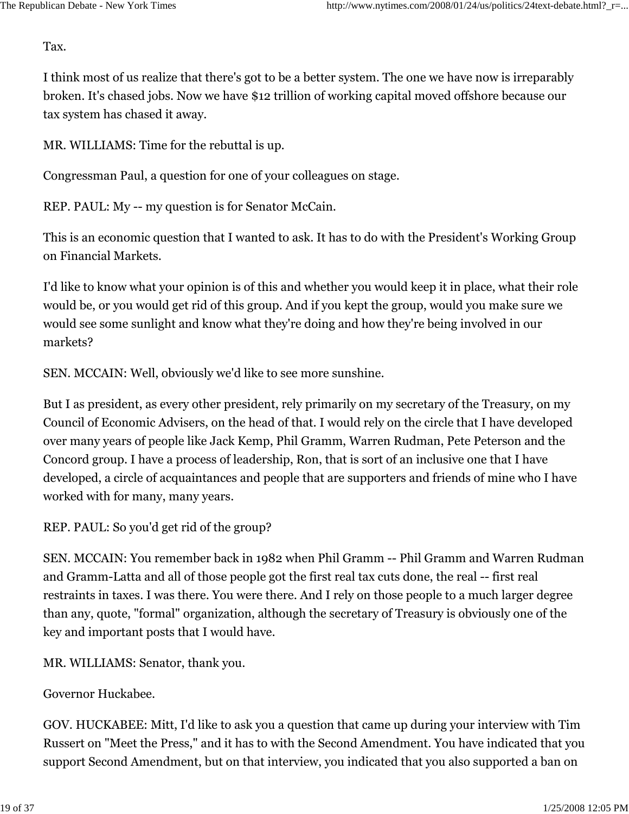Tax.

I think most of us realize that there's got to be a better system. The one we have now is irreparably broken. It's chased jobs. Now we have \$12 trillion of working capital moved offshore because our tax system has chased it away.

MR. WILLIAMS: Time for the rebuttal is up.

Congressman Paul, a question for one of your colleagues on stage.

REP. PAUL: My -- my question is for Senator McCain.

This is an economic question that I wanted to ask. It has to do with the President's Working Group on Financial Markets.

I'd like to know what your opinion is of this and whether you would keep it in place, what their role would be, or you would get rid of this group. And if you kept the group, would you make sure we would see some sunlight and know what they're doing and how they're being involved in our markets?

SEN. MCCAIN: Well, obviously we'd like to see more sunshine.

But I as president, as every other president, rely primarily on my secretary of the Treasury, on my Council of Economic Advisers, on the head of that. I would rely on the circle that I have developed over many years of people like Jack Kemp, Phil Gramm, Warren Rudman, Pete Peterson and the Concord group. I have a process of leadership, Ron, that is sort of an inclusive one that I have developed, a circle of acquaintances and people that are supporters and friends of mine who I have worked with for many, many years.

REP. PAUL: So you'd get rid of the group?

SEN. MCCAIN: You remember back in 1982 when Phil Gramm -- Phil Gramm and Warren Rudman and Gramm-Latta and all of those people got the first real tax cuts done, the real -- first real restraints in taxes. I was there. You were there. And I rely on those people to a much larger degree than any, quote, "formal" organization, although the secretary of Treasury is obviously one of the key and important posts that I would have.

MR. WILLIAMS: Senator, thank you.

Governor Huckabee.

GOV. HUCKABEE: Mitt, I'd like to ask you a question that came up during your interview with Tim Russert on "Meet the Press," and it has to with the Second Amendment. You have indicated that you support Second Amendment, but on that interview, you indicated that you also supported a ban on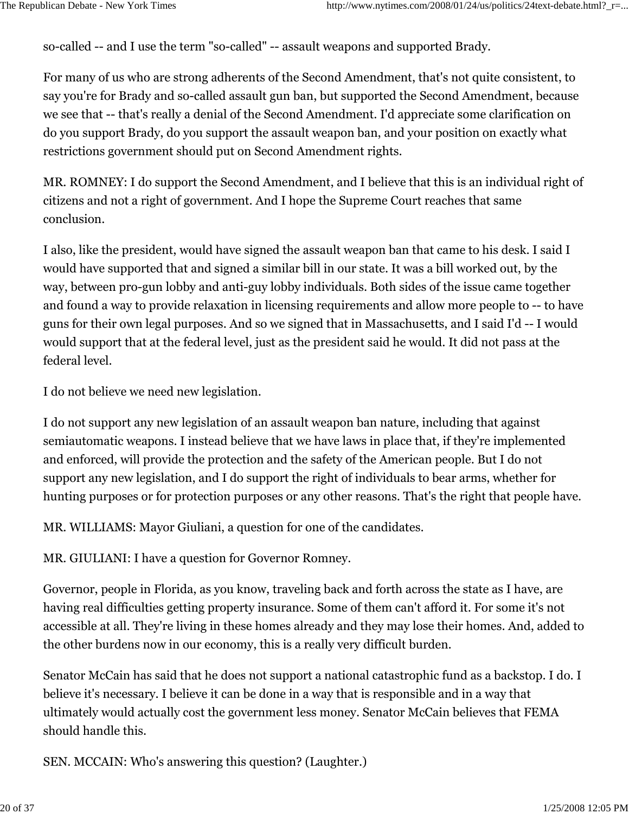so-called -- and I use the term "so-called" -- assault weapons and supported Brady.

For many of us who are strong adherents of the Second Amendment, that's not quite consistent, to say you're for Brady and so-called assault gun ban, but supported the Second Amendment, because we see that -- that's really a denial of the Second Amendment. I'd appreciate some clarification on do you support Brady, do you support the assault weapon ban, and your position on exactly what restrictions government should put on Second Amendment rights.

MR. ROMNEY: I do support the Second Amendment, and I believe that this is an individual right of citizens and not a right of government. And I hope the Supreme Court reaches that same conclusion.

I also, like the president, would have signed the assault weapon ban that came to his desk. I said I would have supported that and signed a similar bill in our state. It was a bill worked out, by the way, between pro-gun lobby and anti-guy lobby individuals. Both sides of the issue came together and found a way to provide relaxation in licensing requirements and allow more people to -- to have guns for their own legal purposes. And so we signed that in Massachusetts, and I said I'd -- I would would support that at the federal level, just as the president said he would. It did not pass at the federal level.

I do not believe we need new legislation.

I do not support any new legislation of an assault weapon ban nature, including that against semiautomatic weapons. I instead believe that we have laws in place that, if they're implemented and enforced, will provide the protection and the safety of the American people. But I do not support any new legislation, and I do support the right of individuals to bear arms, whether for hunting purposes or for protection purposes or any other reasons. That's the right that people have.

MR. WILLIAMS: Mayor Giuliani, a question for one of the candidates.

MR. GIULIANI: I have a question for Governor Romney.

Governor, people in Florida, as you know, traveling back and forth across the state as I have, are having real difficulties getting property insurance. Some of them can't afford it. For some it's not accessible at all. They're living in these homes already and they may lose their homes. And, added to the other burdens now in our economy, this is a really very difficult burden.

Senator McCain has said that he does not support a national catastrophic fund as a backstop. I do. I believe it's necessary. I believe it can be done in a way that is responsible and in a way that ultimately would actually cost the government less money. Senator McCain believes that FEMA should handle this.

SEN. MCCAIN: Who's answering this question? (Laughter.)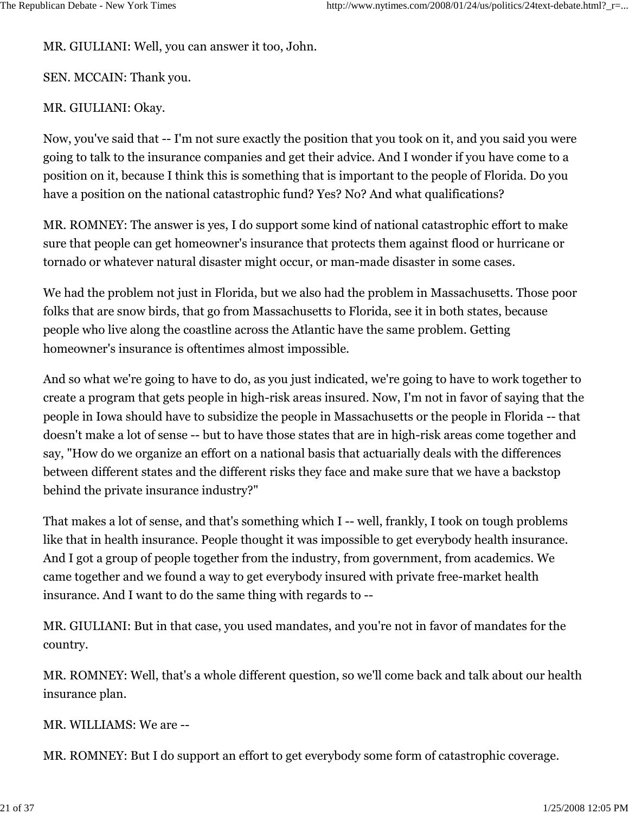MR. GIULIANI: Well, you can answer it too, John.

SEN. MCCAIN: Thank you.

## MR. GIULIANI: Okay.

Now, you've said that -- I'm not sure exactly the position that you took on it, and you said you were going to talk to the insurance companies and get their advice. And I wonder if you have come to a position on it, because I think this is something that is important to the people of Florida. Do you have a position on the national catastrophic fund? Yes? No? And what qualifications?

MR. ROMNEY: The answer is yes, I do support some kind of national catastrophic effort to make sure that people can get homeowner's insurance that protects them against flood or hurricane or tornado or whatever natural disaster might occur, or man-made disaster in some cases.

We had the problem not just in Florida, but we also had the problem in Massachusetts. Those poor folks that are snow birds, that go from Massachusetts to Florida, see it in both states, because people who live along the coastline across the Atlantic have the same problem. Getting homeowner's insurance is oftentimes almost impossible.

And so what we're going to have to do, as you just indicated, we're going to have to work together to create a program that gets people in high-risk areas insured. Now, I'm not in favor of saying that the people in Iowa should have to subsidize the people in Massachusetts or the people in Florida -- that doesn't make a lot of sense -- but to have those states that are in high-risk areas come together and say, "How do we organize an effort on a national basis that actuarially deals with the differences between different states and the different risks they face and make sure that we have a backstop behind the private insurance industry?"

That makes a lot of sense, and that's something which I -- well, frankly, I took on tough problems like that in health insurance. People thought it was impossible to get everybody health insurance. And I got a group of people together from the industry, from government, from academics. We came together and we found a way to get everybody insured with private free-market health insurance. And I want to do the same thing with regards to --

MR. GIULIANI: But in that case, you used mandates, and you're not in favor of mandates for the country.

MR. ROMNEY: Well, that's a whole different question, so we'll come back and talk about our health insurance plan.

MR. WILLIAMS: We are --

MR. ROMNEY: But I do support an effort to get everybody some form of catastrophic coverage.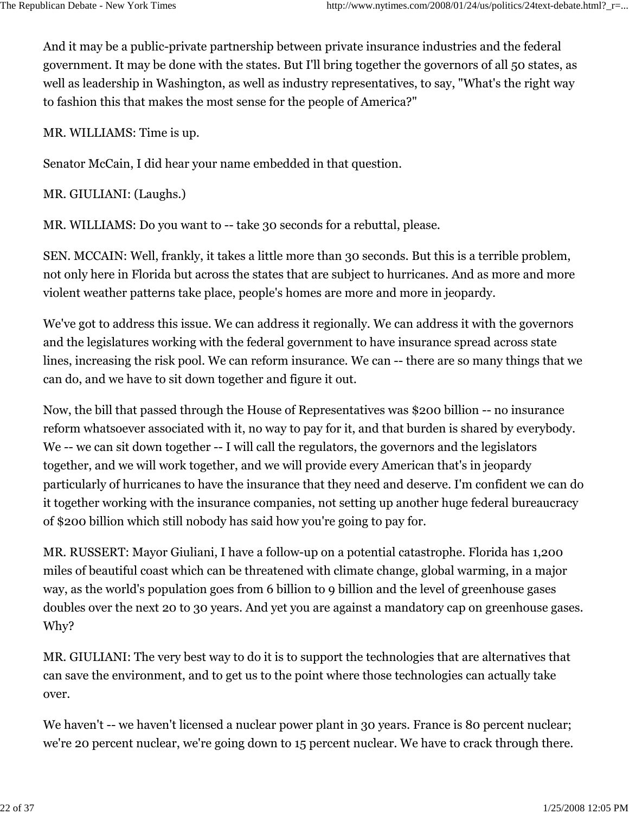And it may be a public-private partnership between private insurance industries and the federal government. It may be done with the states. But I'll bring together the governors of all 50 states, as well as leadership in Washington, as well as industry representatives, to say, "What's the right way to fashion this that makes the most sense for the people of America?"

MR. WILLIAMS: Time is up.

Senator McCain, I did hear your name embedded in that question.

MR. GIULIANI: (Laughs.)

MR. WILLIAMS: Do you want to -- take 30 seconds for a rebuttal, please.

SEN. MCCAIN: Well, frankly, it takes a little more than 30 seconds. But this is a terrible problem, not only here in Florida but across the states that are subject to hurricanes. And as more and more violent weather patterns take place, people's homes are more and more in jeopardy.

We've got to address this issue. We can address it regionally. We can address it with the governors and the legislatures working with the federal government to have insurance spread across state lines, increasing the risk pool. We can reform insurance. We can -- there are so many things that we can do, and we have to sit down together and figure it out.

Now, the bill that passed through the House of Representatives was \$200 billion -- no insurance reform whatsoever associated with it, no way to pay for it, and that burden is shared by everybody. We -- we can sit down together -- I will call the regulators, the governors and the legislators together, and we will work together, and we will provide every American that's in jeopardy particularly of hurricanes to have the insurance that they need and deserve. I'm confident we can do it together working with the insurance companies, not setting up another huge federal bureaucracy of \$200 billion which still nobody has said how you're going to pay for.

MR. RUSSERT: Mayor Giuliani, I have a follow-up on a potential catastrophe. Florida has 1,200 miles of beautiful coast which can be threatened with climate change, global warming, in a major way, as the world's population goes from 6 billion to 9 billion and the level of greenhouse gases doubles over the next 20 to 30 years. And yet you are against a mandatory cap on greenhouse gases. Why?

MR. GIULIANI: The very best way to do it is to support the technologies that are alternatives that can save the environment, and to get us to the point where those technologies can actually take over.

We haven't -- we haven't licensed a nuclear power plant in 30 years. France is 80 percent nuclear; we're 20 percent nuclear, we're going down to 15 percent nuclear. We have to crack through there.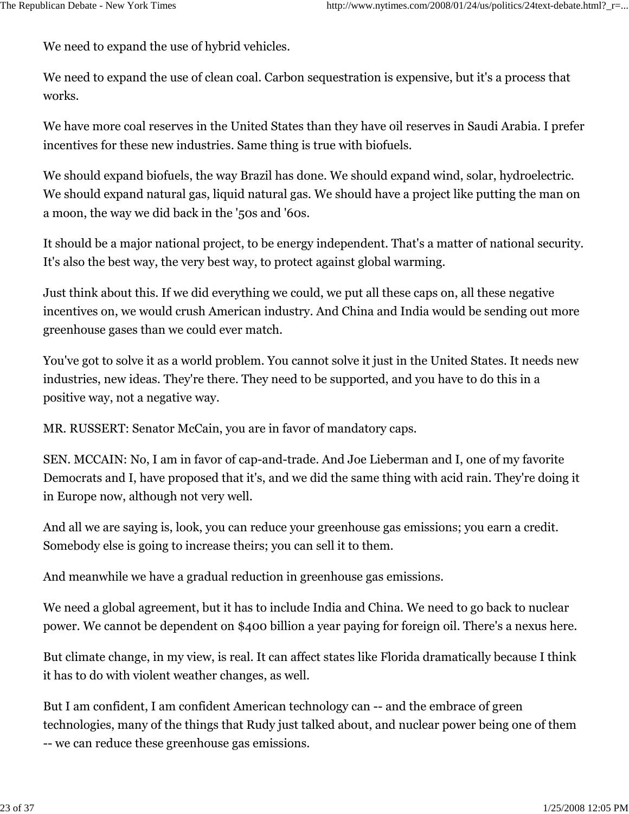We need to expand the use of hybrid vehicles.

We need to expand the use of clean coal. Carbon sequestration is expensive, but it's a process that works.

We have more coal reserves in the United States than they have oil reserves in Saudi Arabia. I prefer incentives for these new industries. Same thing is true with biofuels.

We should expand biofuels, the way Brazil has done. We should expand wind, solar, hydroelectric. We should expand natural gas, liquid natural gas. We should have a project like putting the man on a moon, the way we did back in the '50s and '60s.

It should be a major national project, to be energy independent. That's a matter of national security. It's also the best way, the very best way, to protect against global warming.

Just think about this. If we did everything we could, we put all these caps on, all these negative incentives on, we would crush American industry. And China and India would be sending out more greenhouse gases than we could ever match.

You've got to solve it as a world problem. You cannot solve it just in the United States. It needs new industries, new ideas. They're there. They need to be supported, and you have to do this in a positive way, not a negative way.

MR. RUSSERT: Senator McCain, you are in favor of mandatory caps.

SEN. MCCAIN: No, I am in favor of cap-and-trade. And Joe Lieberman and I, one of my favorite Democrats and I, have proposed that it's, and we did the same thing with acid rain. They're doing it in Europe now, although not very well.

And all we are saying is, look, you can reduce your greenhouse gas emissions; you earn a credit. Somebody else is going to increase theirs; you can sell it to them.

And meanwhile we have a gradual reduction in greenhouse gas emissions.

We need a global agreement, but it has to include India and China. We need to go back to nuclear power. We cannot be dependent on \$400 billion a year paying for foreign oil. There's a nexus here.

But climate change, in my view, is real. It can affect states like Florida dramatically because I think it has to do with violent weather changes, as well.

But I am confident, I am confident American technology can -- and the embrace of green technologies, many of the things that Rudy just talked about, and nuclear power being one of them -- we can reduce these greenhouse gas emissions.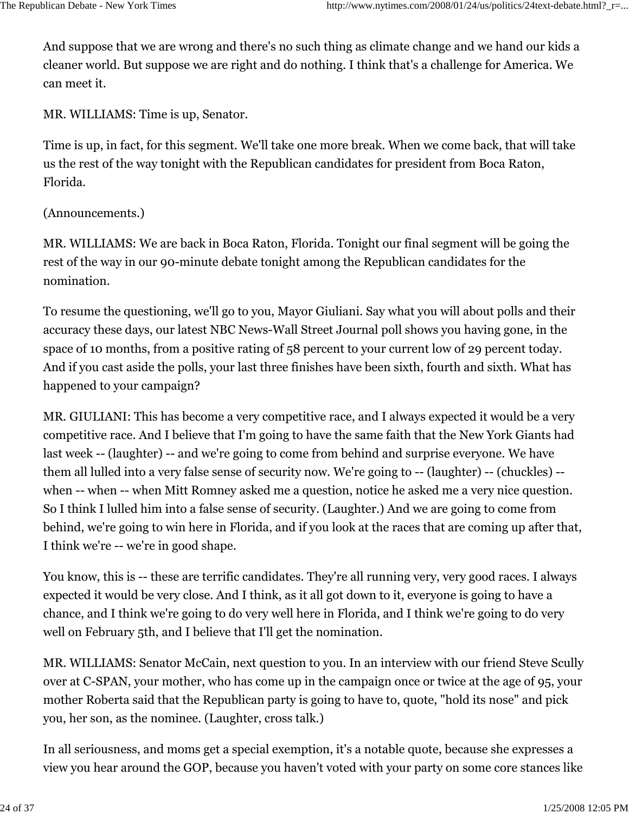And suppose that we are wrong and there's no such thing as climate change and we hand our kids a cleaner world. But suppose we are right and do nothing. I think that's a challenge for America. We can meet it.

MR. WILLIAMS: Time is up, Senator.

Time is up, in fact, for this segment. We'll take one more break. When we come back, that will take us the rest of the way tonight with the Republican candidates for president from Boca Raton, Florida.

#### (Announcements.)

MR. WILLIAMS: We are back in Boca Raton, Florida. Tonight our final segment will be going the rest of the way in our 90-minute debate tonight among the Republican candidates for the nomination.

To resume the questioning, we'll go to you, Mayor Giuliani. Say what you will about polls and their accuracy these days, our latest NBC News-Wall Street Journal poll shows you having gone, in the space of 10 months, from a positive rating of 58 percent to your current low of 29 percent today. And if you cast aside the polls, your last three finishes have been sixth, fourth and sixth. What has happened to your campaign?

MR. GIULIANI: This has become a very competitive race, and I always expected it would be a very competitive race. And I believe that I'm going to have the same faith that the New York Giants had last week -- (laughter) -- and we're going to come from behind and surprise everyone. We have them all lulled into a very false sense of security now. We're going to -- (laughter) -- (chuckles) - when -- when -- when Mitt Romney asked me a question, notice he asked me a very nice question. So I think I lulled him into a false sense of security. (Laughter.) And we are going to come from behind, we're going to win here in Florida, and if you look at the races that are coming up after that, I think we're -- we're in good shape.

You know, this is -- these are terrific candidates. They're all running very, very good races. I always expected it would be very close. And I think, as it all got down to it, everyone is going to have a chance, and I think we're going to do very well here in Florida, and I think we're going to do very well on February 5th, and I believe that I'll get the nomination.

MR. WILLIAMS: Senator McCain, next question to you. In an interview with our friend Steve Scully over at C-SPAN, your mother, who has come up in the campaign once or twice at the age of 95, your mother Roberta said that the Republican party is going to have to, quote, "hold its nose" and pick you, her son, as the nominee. (Laughter, cross talk.)

In all seriousness, and moms get a special exemption, it's a notable quote, because she expresses a view you hear around the GOP, because you haven't voted with your party on some core stances like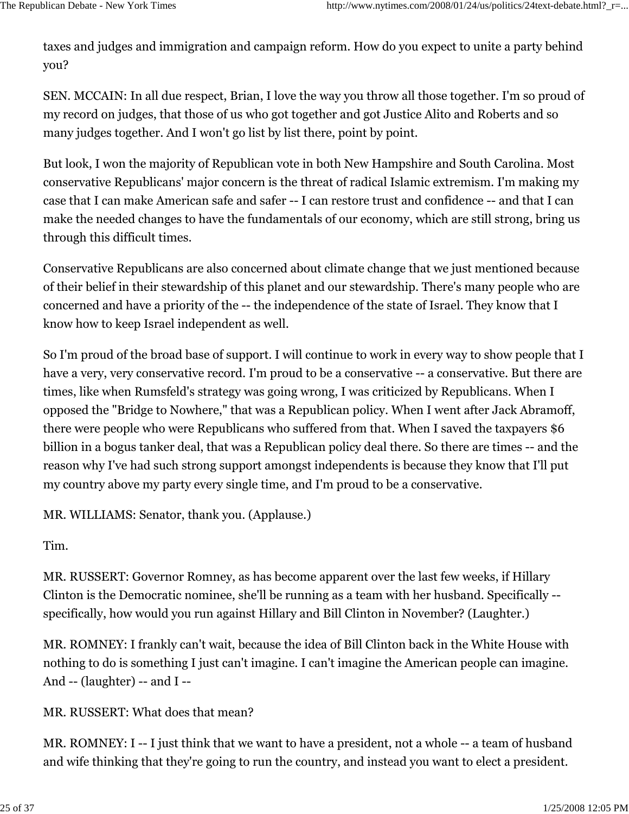taxes and judges and immigration and campaign reform. How do you expect to unite a party behind you?

SEN. MCCAIN: In all due respect, Brian, I love the way you throw all those together. I'm so proud of my record on judges, that those of us who got together and got Justice Alito and Roberts and so many judges together. And I won't go list by list there, point by point.

But look, I won the majority of Republican vote in both New Hampshire and South Carolina. Most conservative Republicans' major concern is the threat of radical Islamic extremism. I'm making my case that I can make American safe and safer -- I can restore trust and confidence -- and that I can make the needed changes to have the fundamentals of our economy, which are still strong, bring us through this difficult times.

Conservative Republicans are also concerned about climate change that we just mentioned because of their belief in their stewardship of this planet and our stewardship. There's many people who are concerned and have a priority of the -- the independence of the state of Israel. They know that I know how to keep Israel independent as well.

So I'm proud of the broad base of support. I will continue to work in every way to show people that I have a very, very conservative record. I'm proud to be a conservative -- a conservative. But there are times, like when Rumsfeld's strategy was going wrong, I was criticized by Republicans. When I opposed the "Bridge to Nowhere," that was a Republican policy. When I went after Jack Abramoff, there were people who were Republicans who suffered from that. When I saved the taxpayers \$6 billion in a bogus tanker deal, that was a Republican policy deal there. So there are times -- and the reason why I've had such strong support amongst independents is because they know that I'll put my country above my party every single time, and I'm proud to be a conservative.

MR. WILLIAMS: Senator, thank you. (Applause.)

Tim.

MR. RUSSERT: Governor Romney, as has become apparent over the last few weeks, if Hillary Clinton is the Democratic nominee, she'll be running as a team with her husband. Specifically - specifically, how would you run against Hillary and Bill Clinton in November? (Laughter.)

MR. ROMNEY: I frankly can't wait, because the idea of Bill Clinton back in the White House with nothing to do is something I just can't imagine. I can't imagine the American people can imagine. And -- (laughter) -- and I --

MR. RUSSERT: What does that mean?

MR. ROMNEY: I -- I just think that we want to have a president, not a whole -- a team of husband and wife thinking that they're going to run the country, and instead you want to elect a president.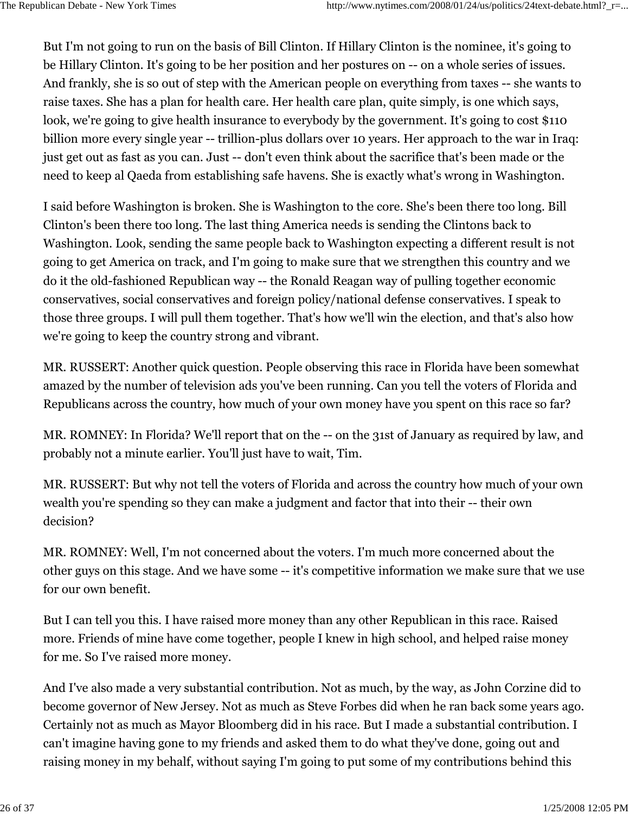But I'm not going to run on the basis of Bill Clinton. If Hillary Clinton is the nominee, it's going to be Hillary Clinton. It's going to be her position and her postures on -- on a whole series of issues. And frankly, she is so out of step with the American people on everything from taxes -- she wants to raise taxes. She has a plan for health care. Her health care plan, quite simply, is one which says, look, we're going to give health insurance to everybody by the government. It's going to cost \$110 billion more every single year -- trillion-plus dollars over 10 years. Her approach to the war in Iraq: just get out as fast as you can. Just -- don't even think about the sacrifice that's been made or the need to keep al Qaeda from establishing safe havens. She is exactly what's wrong in Washington.

I said before Washington is broken. She is Washington to the core. She's been there too long. Bill Clinton's been there too long. The last thing America needs is sending the Clintons back to Washington. Look, sending the same people back to Washington expecting a different result is not going to get America on track, and I'm going to make sure that we strengthen this country and we do it the old-fashioned Republican way -- the Ronald Reagan way of pulling together economic conservatives, social conservatives and foreign policy/national defense conservatives. I speak to those three groups. I will pull them together. That's how we'll win the election, and that's also how we're going to keep the country strong and vibrant.

MR. RUSSERT: Another quick question. People observing this race in Florida have been somewhat amazed by the number of television ads you've been running. Can you tell the voters of Florida and Republicans across the country, how much of your own money have you spent on this race so far?

MR. ROMNEY: In Florida? We'll report that on the -- on the 31st of January as required by law, and probably not a minute earlier. You'll just have to wait, Tim.

MR. RUSSERT: But why not tell the voters of Florida and across the country how much of your own wealth you're spending so they can make a judgment and factor that into their -- their own decision?

MR. ROMNEY: Well, I'm not concerned about the voters. I'm much more concerned about the other guys on this stage. And we have some -- it's competitive information we make sure that we use for our own benefit.

But I can tell you this. I have raised more money than any other Republican in this race. Raised more. Friends of mine have come together, people I knew in high school, and helped raise money for me. So I've raised more money.

And I've also made a very substantial contribution. Not as much, by the way, as John Corzine did to become governor of New Jersey. Not as much as Steve Forbes did when he ran back some years ago. Certainly not as much as Mayor Bloomberg did in his race. But I made a substantial contribution. I can't imagine having gone to my friends and asked them to do what they've done, going out and raising money in my behalf, without saying I'm going to put some of my contributions behind this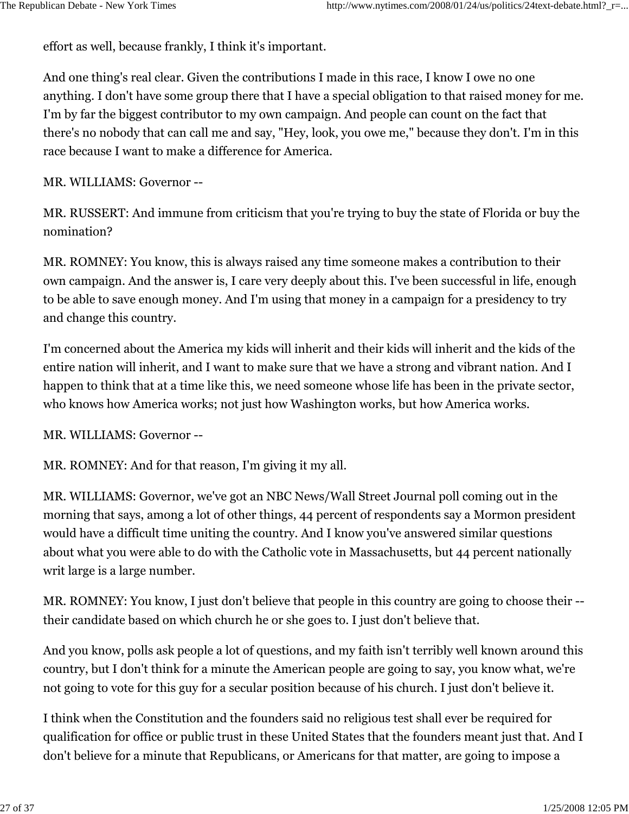effort as well, because frankly, I think it's important.

And one thing's real clear. Given the contributions I made in this race, I know I owe no one anything. I don't have some group there that I have a special obligation to that raised money for me. I'm by far the biggest contributor to my own campaign. And people can count on the fact that there's no nobody that can call me and say, "Hey, look, you owe me," because they don't. I'm in this race because I want to make a difference for America.

MR. WILLIAMS: Governor --

MR. RUSSERT: And immune from criticism that you're trying to buy the state of Florida or buy the nomination?

MR. ROMNEY: You know, this is always raised any time someone makes a contribution to their own campaign. And the answer is, I care very deeply about this. I've been successful in life, enough to be able to save enough money. And I'm using that money in a campaign for a presidency to try and change this country.

I'm concerned about the America my kids will inherit and their kids will inherit and the kids of the entire nation will inherit, and I want to make sure that we have a strong and vibrant nation. And I happen to think that at a time like this, we need someone whose life has been in the private sector, who knows how America works; not just how Washington works, but how America works.

MR. WILLIAMS: Governor --

MR. ROMNEY: And for that reason, I'm giving it my all.

MR. WILLIAMS: Governor, we've got an NBC News/Wall Street Journal poll coming out in the morning that says, among a lot of other things, 44 percent of respondents say a Mormon president would have a difficult time uniting the country. And I know you've answered similar questions about what you were able to do with the Catholic vote in Massachusetts, but 44 percent nationally writ large is a large number.

MR. ROMNEY: You know, I just don't believe that people in this country are going to choose their - their candidate based on which church he or she goes to. I just don't believe that.

And you know, polls ask people a lot of questions, and my faith isn't terribly well known around this country, but I don't think for a minute the American people are going to say, you know what, we're not going to vote for this guy for a secular position because of his church. I just don't believe it.

I think when the Constitution and the founders said no religious test shall ever be required for qualification for office or public trust in these United States that the founders meant just that. And I don't believe for a minute that Republicans, or Americans for that matter, are going to impose a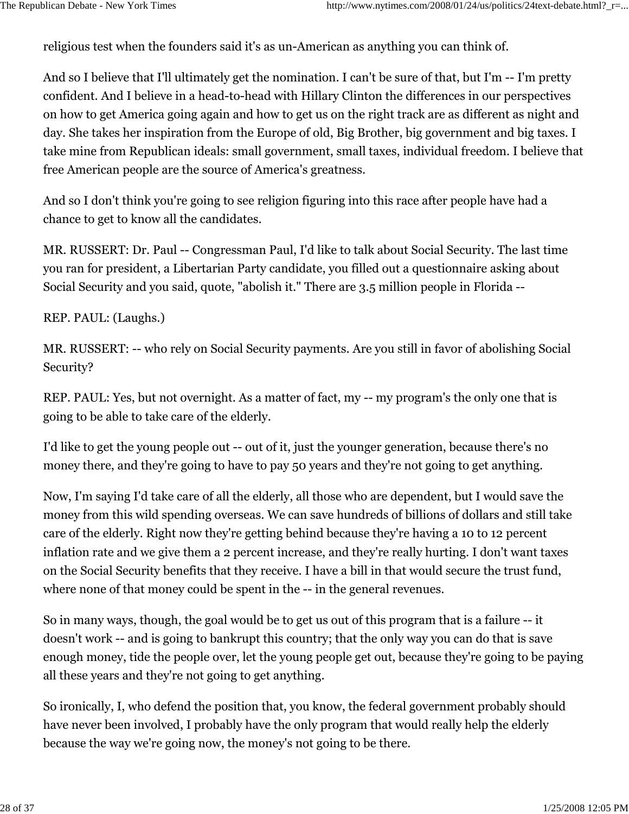religious test when the founders said it's as un-American as anything you can think of.

And so I believe that I'll ultimately get the nomination. I can't be sure of that, but I'm -- I'm pretty confident. And I believe in a head-to-head with Hillary Clinton the differences in our perspectives on how to get America going again and how to get us on the right track are as different as night and day. She takes her inspiration from the Europe of old, Big Brother, big government and big taxes. I take mine from Republican ideals: small government, small taxes, individual freedom. I believe that free American people are the source of America's greatness.

And so I don't think you're going to see religion figuring into this race after people have had a chance to get to know all the candidates.

MR. RUSSERT: Dr. Paul -- Congressman Paul, I'd like to talk about Social Security. The last time you ran for president, a Libertarian Party candidate, you filled out a questionnaire asking about Social Security and you said, quote, "abolish it." There are 3.5 million people in Florida --

REP. PAUL: (Laughs.)

MR. RUSSERT: -- who rely on Social Security payments. Are you still in favor of abolishing Social Security?

REP. PAUL: Yes, but not overnight. As a matter of fact, my -- my program's the only one that is going to be able to take care of the elderly.

I'd like to get the young people out -- out of it, just the younger generation, because there's no money there, and they're going to have to pay 50 years and they're not going to get anything.

Now, I'm saying I'd take care of all the elderly, all those who are dependent, but I would save the money from this wild spending overseas. We can save hundreds of billions of dollars and still take care of the elderly. Right now they're getting behind because they're having a 10 to 12 percent inflation rate and we give them a 2 percent increase, and they're really hurting. I don't want taxes on the Social Security benefits that they receive. I have a bill in that would secure the trust fund, where none of that money could be spent in the -- in the general revenues.

So in many ways, though, the goal would be to get us out of this program that is a failure -- it doesn't work -- and is going to bankrupt this country; that the only way you can do that is save enough money, tide the people over, let the young people get out, because they're going to be paying all these years and they're not going to get anything.

So ironically, I, who defend the position that, you know, the federal government probably should have never been involved, I probably have the only program that would really help the elderly because the way we're going now, the money's not going to be there.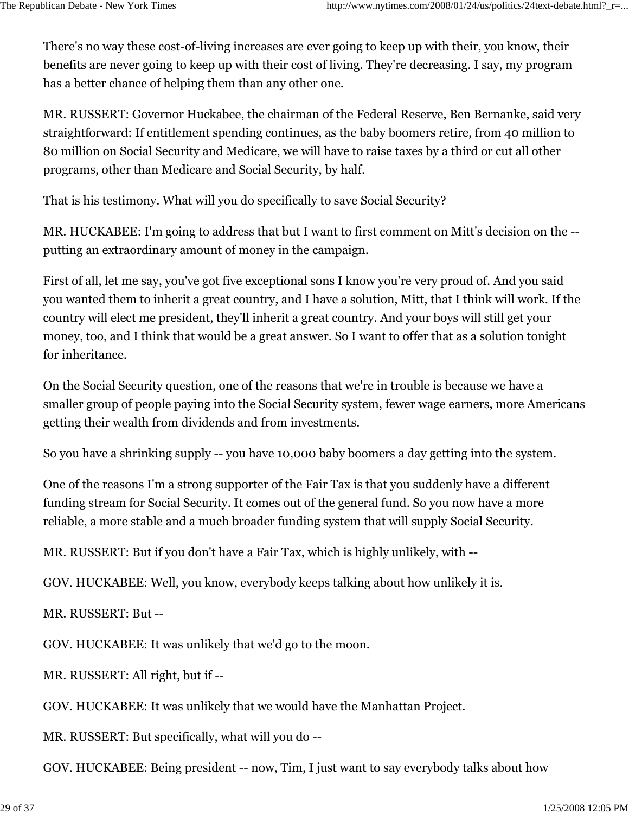There's no way these cost-of-living increases are ever going to keep up with their, you know, their benefits are never going to keep up with their cost of living. They're decreasing. I say, my program has a better chance of helping them than any other one.

MR. RUSSERT: Governor Huckabee, the chairman of the Federal Reserve, Ben Bernanke, said very straightforward: If entitlement spending continues, as the baby boomers retire, from 40 million to 80 million on Social Security and Medicare, we will have to raise taxes by a third or cut all other programs, other than Medicare and Social Security, by half.

That is his testimony. What will you do specifically to save Social Security?

MR. HUCKABEE: I'm going to address that but I want to first comment on Mitt's decision on the - putting an extraordinary amount of money in the campaign.

First of all, let me say, you've got five exceptional sons I know you're very proud of. And you said you wanted them to inherit a great country, and I have a solution, Mitt, that I think will work. If the country will elect me president, they'll inherit a great country. And your boys will still get your money, too, and I think that would be a great answer. So I want to offer that as a solution tonight for inheritance.

On the Social Security question, one of the reasons that we're in trouble is because we have a smaller group of people paying into the Social Security system, fewer wage earners, more Americans getting their wealth from dividends and from investments.

So you have a shrinking supply -- you have 10,000 baby boomers a day getting into the system.

One of the reasons I'm a strong supporter of the Fair Tax is that you suddenly have a different funding stream for Social Security. It comes out of the general fund. So you now have a more reliable, a more stable and a much broader funding system that will supply Social Security.

MR. RUSSERT: But if you don't have a Fair Tax, which is highly unlikely, with --

GOV. HUCKABEE: Well, you know, everybody keeps talking about how unlikely it is.

MR. RUSSERT: But --

GOV. HUCKABEE: It was unlikely that we'd go to the moon.

MR. RUSSERT: All right, but if --

GOV. HUCKABEE: It was unlikely that we would have the Manhattan Project.

MR. RUSSERT: But specifically, what will you do --

GOV. HUCKABEE: Being president -- now, Tim, I just want to say everybody talks about how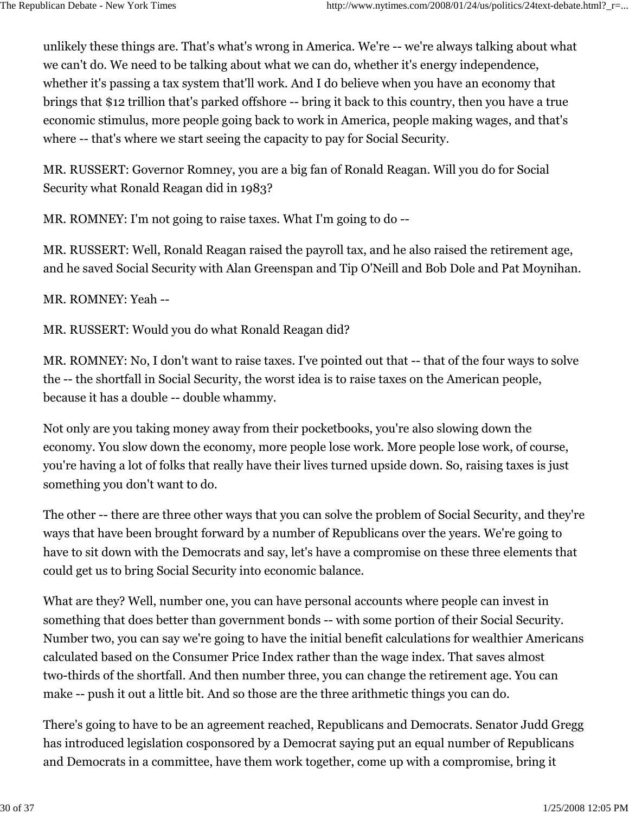unlikely these things are. That's what's wrong in America. We're -- we're always talking about what we can't do. We need to be talking about what we can do, whether it's energy independence, whether it's passing a tax system that'll work. And I do believe when you have an economy that brings that \$12 trillion that's parked offshore -- bring it back to this country, then you have a true economic stimulus, more people going back to work in America, people making wages, and that's where -- that's where we start seeing the capacity to pay for Social Security.

MR. RUSSERT: Governor Romney, you are a big fan of Ronald Reagan. Will you do for Social Security what Ronald Reagan did in 1983?

MR. ROMNEY: I'm not going to raise taxes. What I'm going to do --

MR. RUSSERT: Well, Ronald Reagan raised the payroll tax, and he also raised the retirement age, and he saved Social Security with Alan Greenspan and Tip O'Neill and Bob Dole and Pat Moynihan.

MR. ROMNEY: Yeah --

MR. RUSSERT: Would you do what Ronald Reagan did?

MR. ROMNEY: No, I don't want to raise taxes. I've pointed out that -- that of the four ways to solve the -- the shortfall in Social Security, the worst idea is to raise taxes on the American people, because it has a double -- double whammy.

Not only are you taking money away from their pocketbooks, you're also slowing down the economy. You slow down the economy, more people lose work. More people lose work, of course, you're having a lot of folks that really have their lives turned upside down. So, raising taxes is just something you don't want to do.

The other -- there are three other ways that you can solve the problem of Social Security, and they're ways that have been brought forward by a number of Republicans over the years. We're going to have to sit down with the Democrats and say, let's have a compromise on these three elements that could get us to bring Social Security into economic balance.

What are they? Well, number one, you can have personal accounts where people can invest in something that does better than government bonds -- with some portion of their Social Security. Number two, you can say we're going to have the initial benefit calculations for wealthier Americans calculated based on the Consumer Price Index rather than the wage index. That saves almost two-thirds of the shortfall. And then number three, you can change the retirement age. You can make -- push it out a little bit. And so those are the three arithmetic things you can do.

There's going to have to be an agreement reached, Republicans and Democrats. Senator Judd Gregg has introduced legislation cosponsored by a Democrat saying put an equal number of Republicans and Democrats in a committee, have them work together, come up with a compromise, bring it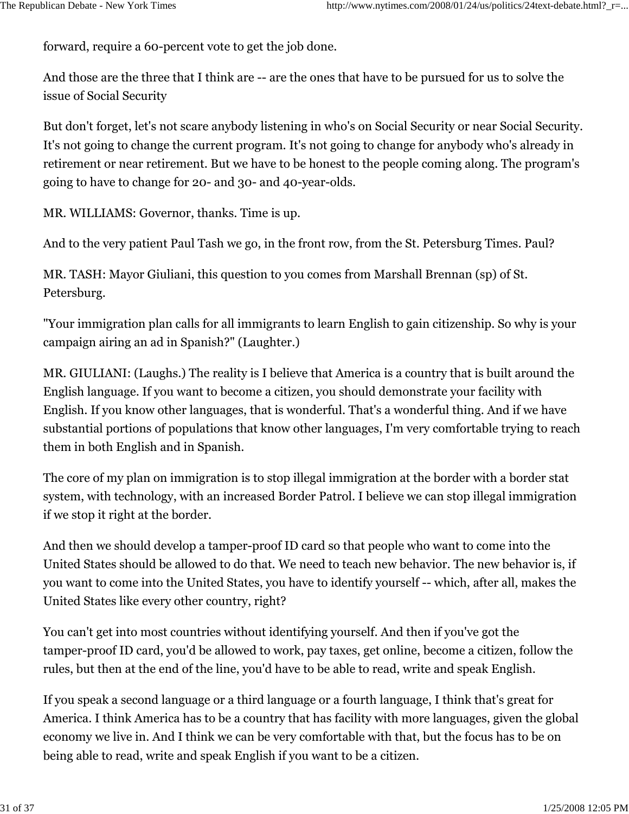forward, require a 60-percent vote to get the job done.

And those are the three that I think are -- are the ones that have to be pursued for us to solve the issue of Social Security

But don't forget, let's not scare anybody listening in who's on Social Security or near Social Security. It's not going to change the current program. It's not going to change for anybody who's already in retirement or near retirement. But we have to be honest to the people coming along. The program's going to have to change for 20- and 30- and 40-year-olds.

MR. WILLIAMS: Governor, thanks. Time is up.

And to the very patient Paul Tash we go, in the front row, from the St. Petersburg Times. Paul?

MR. TASH: Mayor Giuliani, this question to you comes from Marshall Brennan (sp) of St. Petersburg.

"Your immigration plan calls for all immigrants to learn English to gain citizenship. So why is your campaign airing an ad in Spanish?" (Laughter.)

MR. GIULIANI: (Laughs.) The reality is I believe that America is a country that is built around the English language. If you want to become a citizen, you should demonstrate your facility with English. If you know other languages, that is wonderful. That's a wonderful thing. And if we have substantial portions of populations that know other languages, I'm very comfortable trying to reach them in both English and in Spanish.

The core of my plan on immigration is to stop illegal immigration at the border with a border stat system, with technology, with an increased Border Patrol. I believe we can stop illegal immigration if we stop it right at the border.

And then we should develop a tamper-proof ID card so that people who want to come into the United States should be allowed to do that. We need to teach new behavior. The new behavior is, if you want to come into the United States, you have to identify yourself -- which, after all, makes the United States like every other country, right?

You can't get into most countries without identifying yourself. And then if you've got the tamper-proof ID card, you'd be allowed to work, pay taxes, get online, become a citizen, follow the rules, but then at the end of the line, you'd have to be able to read, write and speak English.

If you speak a second language or a third language or a fourth language, I think that's great for America. I think America has to be a country that has facility with more languages, given the global economy we live in. And I think we can be very comfortable with that, but the focus has to be on being able to read, write and speak English if you want to be a citizen.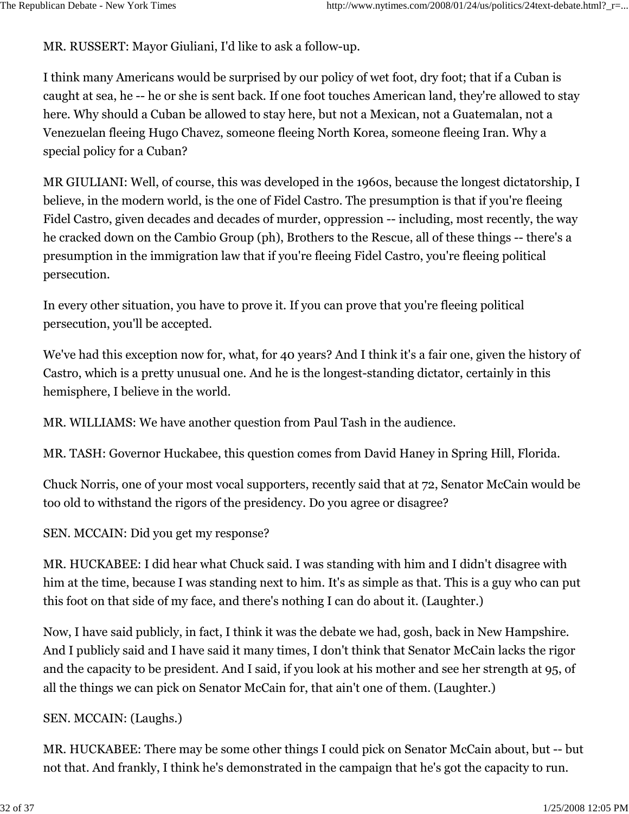MR. RUSSERT: Mayor Giuliani, I'd like to ask a follow-up.

I think many Americans would be surprised by our policy of wet foot, dry foot; that if a Cuban is caught at sea, he -- he or she is sent back. If one foot touches American land, they're allowed to stay here. Why should a Cuban be allowed to stay here, but not a Mexican, not a Guatemalan, not a Venezuelan fleeing Hugo Chavez, someone fleeing North Korea, someone fleeing Iran. Why a special policy for a Cuban?

MR GIULIANI: Well, of course, this was developed in the 1960s, because the longest dictatorship, I believe, in the modern world, is the one of Fidel Castro. The presumption is that if you're fleeing Fidel Castro, given decades and decades of murder, oppression -- including, most recently, the way he cracked down on the Cambio Group (ph), Brothers to the Rescue, all of these things -- there's a presumption in the immigration law that if you're fleeing Fidel Castro, you're fleeing political persecution.

In every other situation, you have to prove it. If you can prove that you're fleeing political persecution, you'll be accepted.

We've had this exception now for, what, for 40 years? And I think it's a fair one, given the history of Castro, which is a pretty unusual one. And he is the longest-standing dictator, certainly in this hemisphere, I believe in the world.

MR. WILLIAMS: We have another question from Paul Tash in the audience.

MR. TASH: Governor Huckabee, this question comes from David Haney in Spring Hill, Florida.

Chuck Norris, one of your most vocal supporters, recently said that at 72, Senator McCain would be too old to withstand the rigors of the presidency. Do you agree or disagree?

SEN. MCCAIN: Did you get my response?

MR. HUCKABEE: I did hear what Chuck said. I was standing with him and I didn't disagree with him at the time, because I was standing next to him. It's as simple as that. This is a guy who can put this foot on that side of my face, and there's nothing I can do about it. (Laughter.)

Now, I have said publicly, in fact, I think it was the debate we had, gosh, back in New Hampshire. And I publicly said and I have said it many times, I don't think that Senator McCain lacks the rigor and the capacity to be president. And I said, if you look at his mother and see her strength at 95, of all the things we can pick on Senator McCain for, that ain't one of them. (Laughter.)

# SEN. MCCAIN: (Laughs.)

MR. HUCKABEE: There may be some other things I could pick on Senator McCain about, but -- but not that. And frankly, I think he's demonstrated in the campaign that he's got the capacity to run.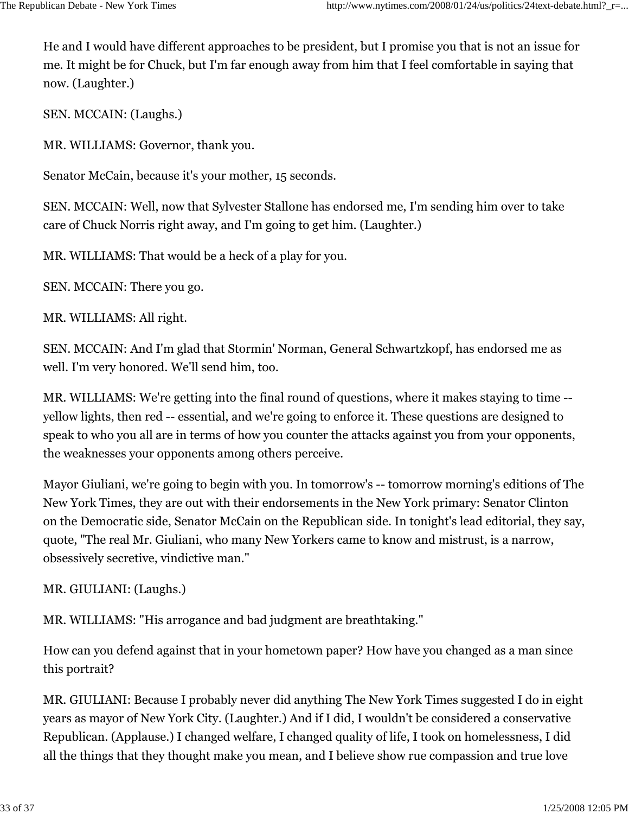He and I would have different approaches to be president, but I promise you that is not an issue for me. It might be for Chuck, but I'm far enough away from him that I feel comfortable in saying that now. (Laughter.)

SEN. MCCAIN: (Laughs.)

MR. WILLIAMS: Governor, thank you.

Senator McCain, because it's your mother, 15 seconds.

SEN. MCCAIN: Well, now that Sylvester Stallone has endorsed me, I'm sending him over to take care of Chuck Norris right away, and I'm going to get him. (Laughter.)

MR. WILLIAMS: That would be a heck of a play for you.

SEN. MCCAIN: There you go.

MR. WILLIAMS: All right.

SEN. MCCAIN: And I'm glad that Stormin' Norman, General Schwartzkopf, has endorsed me as well. I'm very honored. We'll send him, too.

MR. WILLIAMS: We're getting into the final round of questions, where it makes staying to time - yellow lights, then red -- essential, and we're going to enforce it. These questions are designed to speak to who you all are in terms of how you counter the attacks against you from your opponents, the weaknesses your opponents among others perceive.

Mayor Giuliani, we're going to begin with you. In tomorrow's -- tomorrow morning's editions of The New York Times, they are out with their endorsements in the New York primary: Senator Clinton on the Democratic side, Senator McCain on the Republican side. In tonight's lead editorial, they say, quote, "The real Mr. Giuliani, who many New Yorkers came to know and mistrust, is a narrow, obsessively secretive, vindictive man."

#### MR. GIULIANI: (Laughs.)

MR. WILLIAMS: "His arrogance and bad judgment are breathtaking."

How can you defend against that in your hometown paper? How have you changed as a man since this portrait?

MR. GIULIANI: Because I probably never did anything The New York Times suggested I do in eight years as mayor of New York City. (Laughter.) And if I did, I wouldn't be considered a conservative Republican. (Applause.) I changed welfare, I changed quality of life, I took on homelessness, I did all the things that they thought make you mean, and I believe show rue compassion and true love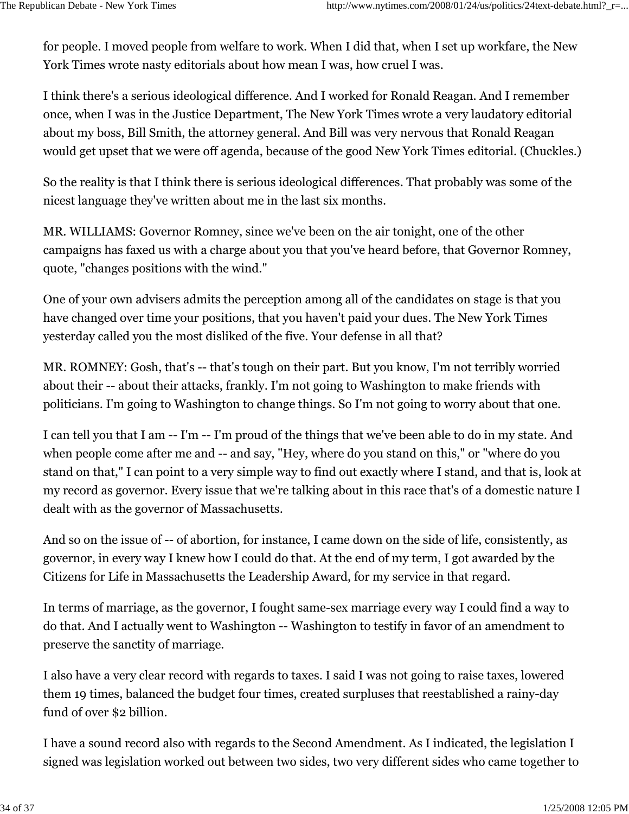for people. I moved people from welfare to work. When I did that, when I set up workfare, the New York Times wrote nasty editorials about how mean I was, how cruel I was.

I think there's a serious ideological difference. And I worked for Ronald Reagan. And I remember once, when I was in the Justice Department, The New York Times wrote a very laudatory editorial about my boss, Bill Smith, the attorney general. And Bill was very nervous that Ronald Reagan would get upset that we were off agenda, because of the good New York Times editorial. (Chuckles.)

So the reality is that I think there is serious ideological differences. That probably was some of the nicest language they've written about me in the last six months.

MR. WILLIAMS: Governor Romney, since we've been on the air tonight, one of the other campaigns has faxed us with a charge about you that you've heard before, that Governor Romney, quote, "changes positions with the wind."

One of your own advisers admits the perception among all of the candidates on stage is that you have changed over time your positions, that you haven't paid your dues. The New York Times yesterday called you the most disliked of the five. Your defense in all that?

MR. ROMNEY: Gosh, that's -- that's tough on their part. But you know, I'm not terribly worried about their -- about their attacks, frankly. I'm not going to Washington to make friends with politicians. I'm going to Washington to change things. So I'm not going to worry about that one.

I can tell you that I am -- I'm -- I'm proud of the things that we've been able to do in my state. And when people come after me and -- and say, "Hey, where do you stand on this," or "where do you stand on that," I can point to a very simple way to find out exactly where I stand, and that is, look at my record as governor. Every issue that we're talking about in this race that's of a domestic nature I dealt with as the governor of Massachusetts.

And so on the issue of -- of abortion, for instance, I came down on the side of life, consistently, as governor, in every way I knew how I could do that. At the end of my term, I got awarded by the Citizens for Life in Massachusetts the Leadership Award, for my service in that regard.

In terms of marriage, as the governor, I fought same-sex marriage every way I could find a way to do that. And I actually went to Washington -- Washington to testify in favor of an amendment to preserve the sanctity of marriage.

I also have a very clear record with regards to taxes. I said I was not going to raise taxes, lowered them 19 times, balanced the budget four times, created surpluses that reestablished a rainy-day fund of over \$2 billion.

I have a sound record also with regards to the Second Amendment. As I indicated, the legislation I signed was legislation worked out between two sides, two very different sides who came together to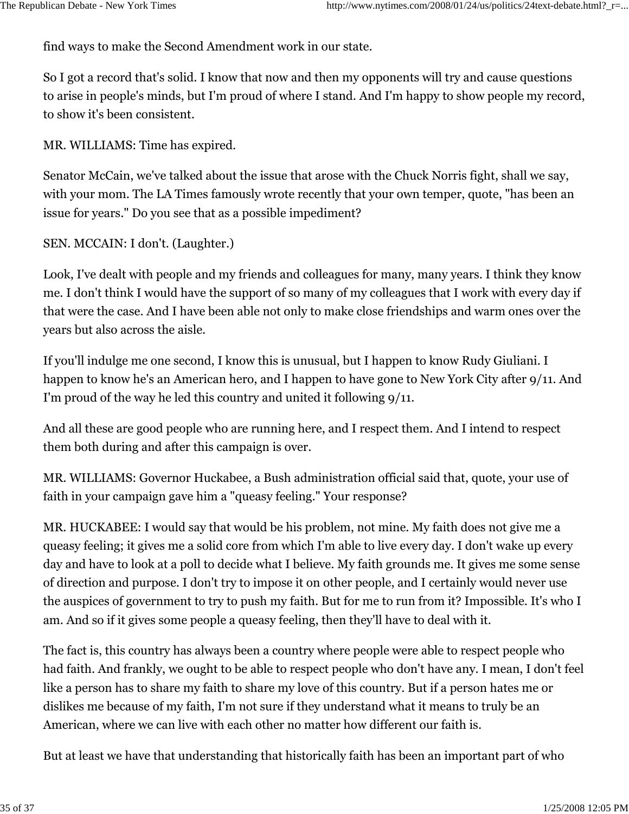find ways to make the Second Amendment work in our state.

So I got a record that's solid. I know that now and then my opponents will try and cause questions to arise in people's minds, but I'm proud of where I stand. And I'm happy to show people my record, to show it's been consistent.

MR. WILLIAMS: Time has expired.

Senator McCain, we've talked about the issue that arose with the Chuck Norris fight, shall we say, with your mom. The LA Times famously wrote recently that your own temper, quote, "has been an issue for years." Do you see that as a possible impediment?

SEN. MCCAIN: I don't. (Laughter.)

Look, I've dealt with people and my friends and colleagues for many, many years. I think they know me. I don't think I would have the support of so many of my colleagues that I work with every day if that were the case. And I have been able not only to make close friendships and warm ones over the years but also across the aisle.

If you'll indulge me one second, I know this is unusual, but I happen to know Rudy Giuliani. I happen to know he's an American hero, and I happen to have gone to New York City after 9/11. And I'm proud of the way he led this country and united it following 9/11.

And all these are good people who are running here, and I respect them. And I intend to respect them both during and after this campaign is over.

MR. WILLIAMS: Governor Huckabee, a Bush administration official said that, quote, your use of faith in your campaign gave him a "queasy feeling." Your response?

MR. HUCKABEE: I would say that would be his problem, not mine. My faith does not give me a queasy feeling; it gives me a solid core from which I'm able to live every day. I don't wake up every day and have to look at a poll to decide what I believe. My faith grounds me. It gives me some sense of direction and purpose. I don't try to impose it on other people, and I certainly would never use the auspices of government to try to push my faith. But for me to run from it? Impossible. It's who I am. And so if it gives some people a queasy feeling, then they'll have to deal with it.

The fact is, this country has always been a country where people were able to respect people who had faith. And frankly, we ought to be able to respect people who don't have any. I mean, I don't feel like a person has to share my faith to share my love of this country. But if a person hates me or dislikes me because of my faith, I'm not sure if they understand what it means to truly be an American, where we can live with each other no matter how different our faith is.

But at least we have that understanding that historically faith has been an important part of who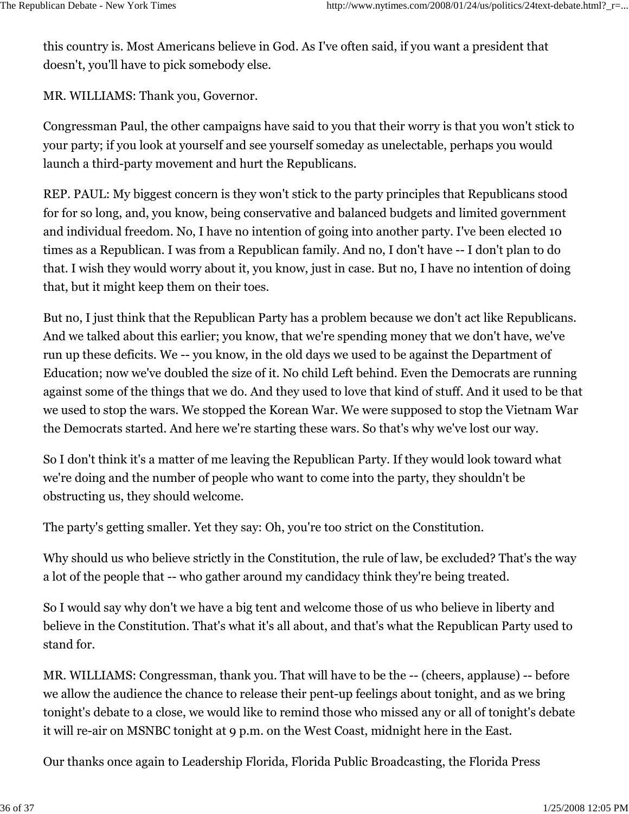this country is. Most Americans believe in God. As I've often said, if you want a president that doesn't, you'll have to pick somebody else.

MR. WILLIAMS: Thank you, Governor.

Congressman Paul, the other campaigns have said to you that their worry is that you won't stick to your party; if you look at yourself and see yourself someday as unelectable, perhaps you would launch a third-party movement and hurt the Republicans.

REP. PAUL: My biggest concern is they won't stick to the party principles that Republicans stood for for so long, and, you know, being conservative and balanced budgets and limited government and individual freedom. No, I have no intention of going into another party. I've been elected 10 times as a Republican. I was from a Republican family. And no, I don't have -- I don't plan to do that. I wish they would worry about it, you know, just in case. But no, I have no intention of doing that, but it might keep them on their toes.

But no, I just think that the Republican Party has a problem because we don't act like Republicans. And we talked about this earlier; you know, that we're spending money that we don't have, we've run up these deficits. We -- you know, in the old days we used to be against the Department of Education; now we've doubled the size of it. No child Left behind. Even the Democrats are running against some of the things that we do. And they used to love that kind of stuff. And it used to be that we used to stop the wars. We stopped the Korean War. We were supposed to stop the Vietnam War the Democrats started. And here we're starting these wars. So that's why we've lost our way.

So I don't think it's a matter of me leaving the Republican Party. If they would look toward what we're doing and the number of people who want to come into the party, they shouldn't be obstructing us, they should welcome.

The party's getting smaller. Yet they say: Oh, you're too strict on the Constitution.

Why should us who believe strictly in the Constitution, the rule of law, be excluded? That's the way a lot of the people that -- who gather around my candidacy think they're being treated.

So I would say why don't we have a big tent and welcome those of us who believe in liberty and believe in the Constitution. That's what it's all about, and that's what the Republican Party used to stand for.

MR. WILLIAMS: Congressman, thank you. That will have to be the -- (cheers, applause) -- before we allow the audience the chance to release their pent-up feelings about tonight, and as we bring tonight's debate to a close, we would like to remind those who missed any or all of tonight's debate it will re-air on MSNBC tonight at 9 p.m. on the West Coast, midnight here in the East.

Our thanks once again to Leadership Florida, Florida Public Broadcasting, the Florida Press